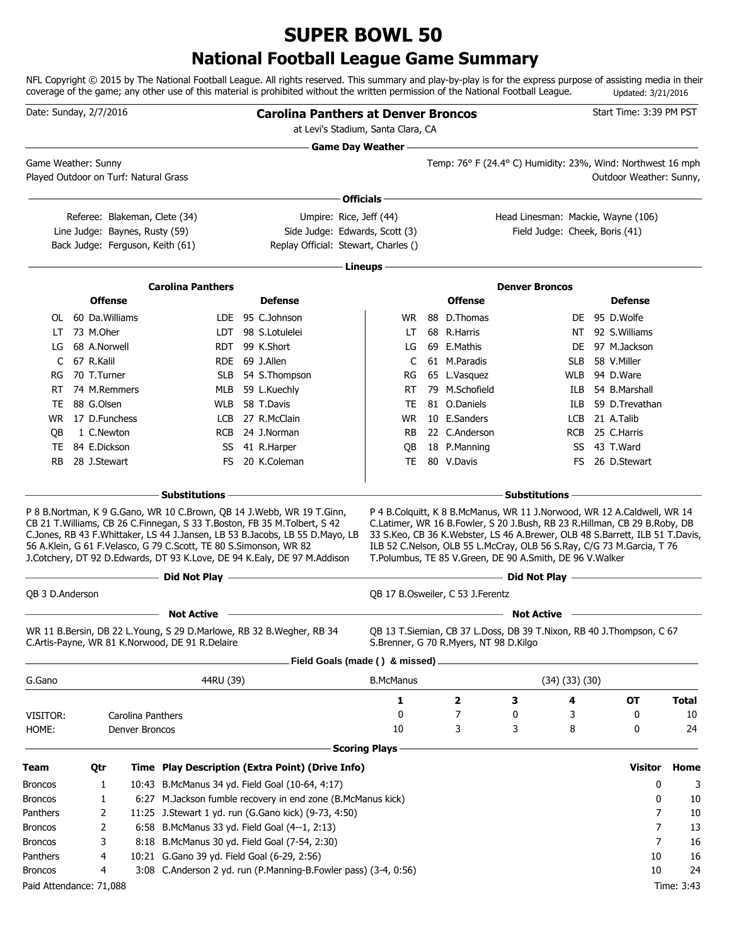## **SUPER BOWL 50**

### **National Football League Game Summary**

NFL Copyright © 2015 by The National Football League. All rights reserved. This summary and play-by-play is for the express purpose of assisting media in their coverage of the game; any other use of this material is prohibited without the written permission of the National Football League. Updated: 3/21/2016

| Date: Sunday, 2/7/2016  |                    |                                       |                                                                                                                         | <b>Carolina Panthers at Denver Broncos</b>                                                                                                                                                                                               |                            |                                                          |                       |                      | Start Time: 3:39 PM PST                                                                                                                                                                                                            |                |              |
|-------------------------|--------------------|---------------------------------------|-------------------------------------------------------------------------------------------------------------------------|------------------------------------------------------------------------------------------------------------------------------------------------------------------------------------------------------------------------------------------|----------------------------|----------------------------------------------------------|-----------------------|----------------------|------------------------------------------------------------------------------------------------------------------------------------------------------------------------------------------------------------------------------------|----------------|--------------|
|                         |                    |                                       |                                                                                                                         | at Levi's Stadium, Santa Clara, CA                                                                                                                                                                                                       |                            |                                                          |                       |                      |                                                                                                                                                                                                                                    |                |              |
|                         |                    |                                       |                                                                                                                         |                                                                                                                                                                                                                                          | <b>Game Day Weather --</b> |                                                          |                       |                      | Temp: 76° F (24.4° C) Humidity: 23%, Wind: Northwest 16 mph                                                                                                                                                                        |                |              |
| Game Weather: Sunny     |                    | Played Outdoor on Turf: Natural Grass |                                                                                                                         |                                                                                                                                                                                                                                          |                            |                                                          |                       |                      | Outdoor Weather: Sunny,                                                                                                                                                                                                            |                |              |
|                         |                    |                                       |                                                                                                                         |                                                                                                                                                                                                                                          |                            |                                                          |                       |                      |                                                                                                                                                                                                                                    |                |              |
|                         |                    |                                       |                                                                                                                         |                                                                                                                                                                                                                                          | Officials $-$              |                                                          |                       |                      |                                                                                                                                                                                                                                    |                |              |
|                         |                    |                                       | Referee: Blakeman, Clete (34)                                                                                           | Umpire: Rice, Jeff (44)                                                                                                                                                                                                                  |                            |                                                          |                       |                      | Head Linesman: Mackie, Wayne (106)                                                                                                                                                                                                 |                |              |
|                         |                    | Line Judge: Baynes, Rusty (59)        |                                                                                                                         | Side Judge: Edwards, Scott (3)                                                                                                                                                                                                           |                            |                                                          |                       |                      | Field Judge: Cheek, Boris (41)                                                                                                                                                                                                     |                |              |
|                         |                    | Back Judge: Ferguson, Keith (61)      |                                                                                                                         | Replay Official: Stewart, Charles ()                                                                                                                                                                                                     |                            |                                                          |                       |                      |                                                                                                                                                                                                                                    |                |              |
|                         |                    |                                       |                                                                                                                         |                                                                                                                                                                                                                                          | - Lineups –                |                                                          |                       |                      |                                                                                                                                                                                                                                    |                |              |
|                         |                    |                                       | <b>Carolina Panthers</b>                                                                                                |                                                                                                                                                                                                                                          |                            |                                                          | <b>Denver Broncos</b> |                      |                                                                                                                                                                                                                                    |                |              |
|                         |                    | <b>Offense</b>                        |                                                                                                                         | <b>Defense</b>                                                                                                                                                                                                                           |                            | <b>Offense</b>                                           |                       |                      | <b>Defense</b>                                                                                                                                                                                                                     |                |              |
|                         | OL 60 Da. Williams |                                       |                                                                                                                         | LDE 95 C.Johnson                                                                                                                                                                                                                         | WR.                        | 88 D.Thomas                                              |                       |                      | DE 95 D.Wolfe                                                                                                                                                                                                                      |                |              |
| LT                      | 73 M.Oher          |                                       |                                                                                                                         | LDT 98 S.Lotulelei                                                                                                                                                                                                                       | LT                         | 68 R.Harris                                              |                       |                      | NT 92 S. Williams                                                                                                                                                                                                                  |                |              |
| LG                      | 68 A.Norwell       |                                       |                                                                                                                         | RDT 99 K.Short                                                                                                                                                                                                                           | LG                         | 69 E.Mathis                                              |                       |                      | DE 97 M.Jackson                                                                                                                                                                                                                    |                |              |
| C                       | 67 R.Kalil         |                                       |                                                                                                                         | RDE 69 J.Allen                                                                                                                                                                                                                           | C                          | 61 M.Paradis                                             |                       | <b>SLB</b>           | 58 V.Miller                                                                                                                                                                                                                        |                |              |
| RG                      | 70 T.Turner        |                                       |                                                                                                                         | SLB 54 S.Thompson                                                                                                                                                                                                                        | RG                         | 65 L.Vasquez                                             |                       |                      | WLB 94 D.Ware                                                                                                                                                                                                                      |                |              |
| RT                      | 74 M.Remmers       |                                       |                                                                                                                         | MLB 59 L.Kuechly                                                                                                                                                                                                                         | RT.                        | 79 M.Schofield                                           |                       |                      | ILB 54 B.Marshall                                                                                                                                                                                                                  |                |              |
| TE                      | 88 G.Olsen         |                                       |                                                                                                                         | WLB 58 T.Davis                                                                                                                                                                                                                           | TE                         | 81 O.Daniels                                             |                       | ILB                  | 59 D.Trevathan                                                                                                                                                                                                                     |                |              |
|                         | WR 17 D.Funchess   |                                       |                                                                                                                         | LCB 27 R.McClain                                                                                                                                                                                                                         | WR                         | 10 E.Sanders                                             |                       |                      | LCB 21 A.Talib                                                                                                                                                                                                                     |                |              |
| QB                      | 1 C.Newton         |                                       |                                                                                                                         | RCB 24 J.Norman                                                                                                                                                                                                                          | RB                         | 22 C.Anderson                                            |                       |                      | RCB 25 C.Harris                                                                                                                                                                                                                    |                |              |
| TE                      | 84 E.Dickson       |                                       | SS                                                                                                                      | 41 R.Harper                                                                                                                                                                                                                              | QB                         | 18 P.Manning                                             |                       |                      | SS 43 T.Ward                                                                                                                                                                                                                       |                |              |
| <b>RB</b>               | 28 J.Stewart       |                                       | FS.                                                                                                                     | 20 K.Coleman                                                                                                                                                                                                                             | <b>TE</b>                  | 80 V.Davis                                               |                       | FS.                  | 26 D.Stewart                                                                                                                                                                                                                       |                |              |
|                         |                    |                                       | <b>Substitutions -</b>                                                                                                  |                                                                                                                                                                                                                                          |                            |                                                          | Substitutions -       |                      |                                                                                                                                                                                                                                    |                |              |
|                         |                    |                                       | 56 A.Klein, G 61 F.Velasco, G 79 C.Scott, TE 80 S.Simonson, WR 82                                                       | CB 21 T. Williams, CB 26 C. Finnegan, S 33 T. Boston, FB 35 M. Tolbert, S 42<br>C.Jones, RB 43 F.Whittaker, LS 44 J.Jansen, LB 53 B.Jacobs, LB 55 D.Mayo, LB<br>J.Cotchery, DT 92 D.Edwards, DT 93 K.Love, DE 94 K.Ealy, DE 97 M.Addison |                            | T.Polumbus, TE 85 V.Green, DE 90 A.Smith, DE 96 V.Walker |                       |                      | C.Latimer, WR 16 B.Fowler, S 20 J.Bush, RB 23 R.Hillman, CB 29 B.Roby, DB<br>33 S.Keo, CB 36 K.Webster, LS 46 A.Brewer, OLB 48 S.Barrett, ILB 51 T.Davis,<br>ILB 52 C.Nelson, OLB 55 L.McCray, OLB 56 S.Ray, C/G 73 M.Garcia, T 76 |                |              |
|                         |                    |                                       | Did Not Play -                                                                                                          | the control of the control of the control of the control of                                                                                                                                                                              |                            |                                                          |                       |                      |                                                                                                                                                                                                                                    |                |              |
| QB 3 D.Anderson         |                    |                                       |                                                                                                                         |                                                                                                                                                                                                                                          |                            | QB 17 B.Osweiler, C 53 J.Ferentz                         |                       |                      |                                                                                                                                                                                                                                    |                |              |
|                         |                    |                                       | <b>Not Active</b>                                                                                                       |                                                                                                                                                                                                                                          |                            |                                                          | <b>Not Active</b>     |                      |                                                                                                                                                                                                                                    |                |              |
|                         |                    |                                       | WR 11 B.Bersin, DB 22 L.Young, S 29 D.Marlowe, RB 32 B.Wegher, RB 34<br>C.Artis-Payne, WR 81 K.Norwood, DE 91 R.Delaire |                                                                                                                                                                                                                                          |                            | S.Brenner, G 70 R.Myers, NT 98 D.Kilgo                   |                       |                      | QB 13 T.Siemian, CB 37 L.Doss, DB 39 T.Nixon, RB 40 J.Thompson, C 67                                                                                                                                                               |                |              |
|                         |                    |                                       |                                                                                                                         | Field Goals (made () & missed).                                                                                                                                                                                                          |                            |                                                          |                       |                      |                                                                                                                                                                                                                                    |                |              |
| G.Gano                  |                    |                                       | 44RU (39)                                                                                                               |                                                                                                                                                                                                                                          | <b>B.McManus</b>           |                                                          |                       | $(34)$ $(33)$ $(30)$ |                                                                                                                                                                                                                                    |                |              |
|                         |                    |                                       |                                                                                                                         |                                                                                                                                                                                                                                          | 1                          | $\overline{\mathbf{2}}$                                  | З                     | 4                    | ОT                                                                                                                                                                                                                                 |                | <b>Total</b> |
| VISITOR:                |                    | Carolina Panthers                     |                                                                                                                         |                                                                                                                                                                                                                                          | 0                          | 7                                                        | 0                     | 3                    | 0                                                                                                                                                                                                                                  |                | 10           |
| HOME:                   |                    | Denver Broncos                        |                                                                                                                         |                                                                                                                                                                                                                                          | 10                         | 3                                                        | 3                     | 8                    | 0                                                                                                                                                                                                                                  |                | 24           |
|                         |                    |                                       |                                                                                                                         |                                                                                                                                                                                                                                          | <b>Scoring Plays</b>       |                                                          |                       |                      |                                                                                                                                                                                                                                    |                |              |
| Team                    | Qtr                |                                       |                                                                                                                         | Time Play Description (Extra Point) (Drive Info)                                                                                                                                                                                         |                            |                                                          |                       |                      | <b>Visitor</b>                                                                                                                                                                                                                     |                | Home         |
| <b>Broncos</b>          | 1                  |                                       |                                                                                                                         | 10:43 B.McManus 34 yd. Field Goal (10-64, 4:17)                                                                                                                                                                                          |                            |                                                          |                       |                      |                                                                                                                                                                                                                                    | 0              | 3            |
| <b>Broncos</b>          | 1                  |                                       |                                                                                                                         | 6:27 M.Jackson fumble recovery in end zone (B.McManus kick)                                                                                                                                                                              |                            |                                                          |                       |                      |                                                                                                                                                                                                                                    | 0              | 10           |
| Panthers                | 2                  |                                       |                                                                                                                         | 11:25 J.Stewart 1 yd. run (G.Gano kick) (9-73, 4:50)                                                                                                                                                                                     |                            |                                                          |                       |                      |                                                                                                                                                                                                                                    | 7              | 10           |
| <b>Broncos</b>          | 2                  |                                       | 6:58 B.McManus 33 yd. Field Goal (4--1, 2:13)                                                                           |                                                                                                                                                                                                                                          |                            |                                                          |                       |                      |                                                                                                                                                                                                                                    | 7              | 13           |
| <b>Broncos</b>          | 3                  |                                       | 8:18 B.McManus 30 yd. Field Goal (7-54, 2:30)                                                                           |                                                                                                                                                                                                                                          |                            |                                                          |                       |                      |                                                                                                                                                                                                                                    | $\overline{7}$ | 16           |
| Panthers                | 4                  |                                       | 10:21 G.Gano 39 yd. Field Goal (6-29, 2:56)                                                                             |                                                                                                                                                                                                                                          |                            |                                                          |                       |                      |                                                                                                                                                                                                                                    | 10             | 16           |
| <b>Broncos</b>          | 4                  |                                       |                                                                                                                         | 3:08 C.Anderson 2 yd. run (P.Manning-B.Fowler pass) (3-4, 0:56)                                                                                                                                                                          |                            |                                                          |                       |                      |                                                                                                                                                                                                                                    | 10             | 24           |
| Paid Attendance: 71,088 |                    |                                       |                                                                                                                         |                                                                                                                                                                                                                                          |                            |                                                          |                       |                      |                                                                                                                                                                                                                                    |                | Time: 3:43   |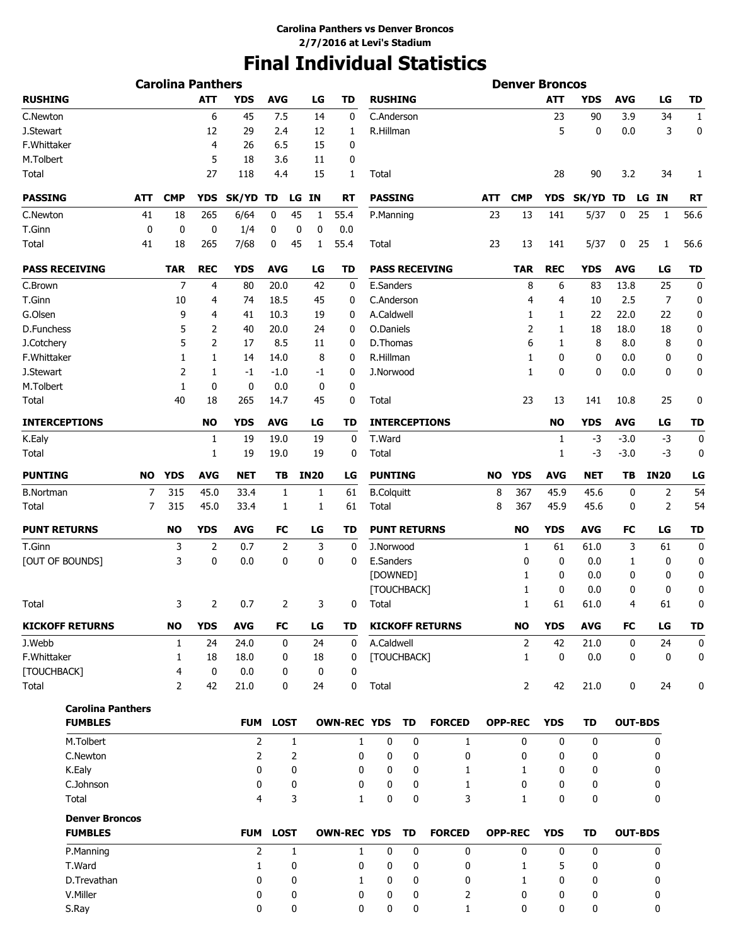# **Final Individual Statistics**

|                          |              | <b>Carolina Panthers</b> |                |                |                |              |              |                    |                     |             |                        |           | <b>Denver Broncos</b> |              |              |             |                |           |
|--------------------------|--------------|--------------------------|----------------|----------------|----------------|--------------|--------------|--------------------|---------------------|-------------|------------------------|-----------|-----------------------|--------------|--------------|-------------|----------------|-----------|
| <b>RUSHING</b>           |              |                          | <b>ATT</b>     | YDS            | <b>AVG</b>     |              | LG           | TD                 | <b>RUSHING</b>      |             |                        |           |                       | ATT          | YDS          | <b>AVG</b>  | LG             | TD        |
| C.Newton                 |              |                          | 6              | 45             | 7.5            |              | 14           | 0                  | C.Anderson          |             |                        |           |                       | 23           | 90           | 3.9         | 34             | 1         |
| J.Stewart                |              |                          | 12             | 29             | 2.4            |              | 12           | 1                  | R.Hillman           |             |                        |           |                       | 5            | $\mathbf 0$  | 0.0         | 3              | 0         |
| F.Whittaker              |              |                          | $\overline{4}$ | 26             | 6.5            |              | 15           | 0                  |                     |             |                        |           |                       |              |              |             |                |           |
| M.Tolbert                |              |                          | 5              | 18             | 3.6            |              | 11           | 0                  |                     |             |                        |           |                       |              |              |             |                |           |
| Total                    |              |                          | 27             | 118            | 4.4            |              | 15           | 1                  | Total               |             |                        |           |                       | 28           | 90           | 3.2         | 34             | 1         |
| <b>PASSING</b>           | ATT          | <b>CMP</b>               | <b>YDS</b>     | SK/YD TD       |                | LG           | ΙN           | RT                 | <b>PASSING</b>      |             |                        | ATT       | <b>CMP</b>            | <b>YDS</b>   | SK/YD        | TD          | LG IN          | <b>RT</b> |
| C.Newton                 | 41           | 18                       | 265            | 6/64           | 0              | 45           | $\mathbf{1}$ | 55.4               | P.Manning           |             |                        | 23        | 13                    | 141          | 5/37         | 0           | 25<br>1        | 56.6      |
| T.Ginn                   | $\mathbf{0}$ | 0                        | 0              | 1/4            | 0              | 0            | 0            | 0.0                |                     |             |                        |           |                       |              |              |             |                |           |
| Total                    | 41           | 18                       | 265            | 7/68           | 0              | 45           | 1            | 55.4               | Total               |             |                        | 23        | 13                    | 141          | 5/37         | 0           | 25<br>1        | 56.6      |
| <b>PASS RECEIVING</b>    |              | <b>TAR</b>               | <b>REC</b>     | <b>YDS</b>     | <b>AVG</b>     |              | LG           | TD                 |                     |             | <b>PASS RECEIVING</b>  |           | <b>TAR</b>            | <b>REC</b>   | <b>YDS</b>   | <b>AVG</b>  | LG             | <b>TD</b> |
| C.Brown                  |              | 7                        | 4              | 80             | 20.0           |              | 42           | 0                  | E.Sanders           |             |                        |           | 8                     | 6            | 83           | 13.8        | 25             | 0         |
| T.Ginn                   |              | 10                       | 4              | 74             | 18.5           |              | 45           | 0                  | C.Anderson          |             |                        |           | 4                     | 4            | 10           | 2.5         | 7              | 0         |
| G.Olsen                  |              | 9                        | 4              | 41             | 10.3           |              | 19           | 0                  | A.Caldwell          |             |                        |           | 1                     | 1            | 22           | 22.0        | 22             | 0         |
| D.Funchess               |              | 5                        | 2              | 40             | 20.0           |              | 24           | 0                  | O.Daniels           |             |                        |           | 2                     | 1            | 18           | 18.0        | 18             | 0         |
| J.Cotchery               |              | 5                        | 2              | 17             | 8.5            |              | 11           | 0                  | D.Thomas            |             |                        |           | 6                     | 1            | 8            | 8.0         | 8              | 0         |
| F.Whittaker              |              | 1                        | 1              | 14             |                |              | 8            | 0                  | R.Hillman           |             |                        |           | 1                     | 0            | 0            |             | 0              |           |
|                          |              |                          |                |                | 14.0           |              |              |                    |                     |             |                        |           |                       |              |              | 0.0         |                | 0         |
| J.Stewart                |              | 2                        | 1              | $-1$           | $-1.0$         |              | -1           | 0                  | J.Norwood           |             |                        |           | 1                     | $\mathbf{0}$ | $\mathbf{0}$ | 0.0         | 0              | 0         |
| M.Tolbert<br>Total       |              | 1<br>40                  | 0<br>18        | 0<br>265       | 0.0<br>14.7    |              | 0<br>45      | 0<br>0             | Total               |             |                        |           | 23                    | 13           | 141          | 10.8        | 25             | 0         |
| <b>INTERCEPTIONS</b>     |              |                          | <b>NO</b>      | <b>YDS</b>     | <b>AVG</b>     |              | LG           | TD                 |                     |             | <b>INTERCEPTIONS</b>   |           |                       | <b>NO</b>    | YDS          | <b>AVG</b>  | LG             | <b>TD</b> |
|                          |              |                          |                | 19             | 19.0           |              | 19           |                    | T.Ward              |             |                        |           |                       |              | $-3$         | $-3.0$      | $-3$           | $\bf{0}$  |
| K.Ealy<br>Total          |              |                          | 1<br>1         | 19             | 19.0           |              | 19           | 0<br>0             | Total               |             |                        |           |                       | 1<br>1       | -3           | $-3.0$      | $-3$           | 0         |
| <b>PUNTING</b>           | <b>NO</b>    | <b>YDS</b>               | <b>AVG</b>     | NET            | TB             |              | <b>IN20</b>  | LG                 | <b>PUNTING</b>      |             |                        | <b>NO</b> | <b>YDS</b>            | <b>AVG</b>   | <b>NET</b>   | TВ          | <b>IN20</b>    | LG        |
| <b>B.Nortman</b>         | 7            | 315                      | 45.0           | 33.4           | 1              |              | 1            | 61                 | <b>B.Colquitt</b>   |             |                        | 8         | 367                   | 45.9         | 45.6         | 0           | 2              | 54        |
| Total                    | 7            | 315                      | 45.0           | 33.4           | 1              |              | 1            | 61                 | Total               |             |                        | 8         | 367                   | 45.9         | 45.6         | 0           | 2              | 54        |
| <b>PUNT RETURNS</b>      |              | <b>NO</b>                | <b>YDS</b>     | <b>AVG</b>     | FC             |              | LG           | TD                 | <b>PUNT RETURNS</b> |             |                        |           | NO                    | <b>YDS</b>   | <b>AVG</b>   | FC          | LG             | <b>TD</b> |
| T.Ginn                   |              | 3                        | $\overline{2}$ | 0.7            | $\overline{2}$ |              | 3            | 0                  | J.Norwood           |             |                        |           | 1                     | 61           | 61.0         | 3           | 61             | 0         |
| [OUT OF BOUNDS]          |              | 3                        | 0              | 0.0            | 0              |              | 0            | 0                  | E.Sanders           |             |                        |           | 0                     | 0            | 0.0          | 1           | 0              | 0         |
|                          |              |                          |                |                |                |              |              |                    | [DOWNED]            |             |                        |           | 1                     | 0            | 0.0          | 0           | 0              | 0         |
|                          |              |                          |                |                |                |              |              |                    | [TOUCHBACK]         |             |                        |           | 1                     | 0            | 0.0          | 0           | 0              | 0         |
| Total                    |              | 3                        | 2              | 0.7            |                | 2            | 3            | 0                  | Total               |             |                        |           | 1                     | 61           | 61.0         | 4           | 61             | 0         |
| <b>KICKOFF RETURNS</b>   |              | <b>NO</b>                | <b>YDS</b>     | <b>AVG</b>     | FC             |              | LG           | TD                 |                     |             | <b>KICKOFF RETURNS</b> |           | NO                    | <b>YDS</b>   | <b>AVG</b>   | FC          | LG             | <b>TD</b> |
| J.Webb                   |              | 1                        | 24             | 24.0           | 0              |              | 24           | $\mathbf 0$        | A.Caldwell          |             |                        |           | 2                     | 42           | 21.0         | $\mathbf 0$ | 24             | 0         |
| F.Whittaker              |              | 1                        | 18             | 18.0           | 0              |              | 18           | 0                  | [TOUCHBACK]         |             |                        |           | 1                     | 0            | 0.0          | 0           | 0              | 0         |
| [TOUCHBACK]              |              | 4                        | 0              | 0.0            | 0              |              | 0            | 0                  |                     |             |                        |           |                       |              |              |             |                |           |
| Total                    |              | 2                        | 42             | 21.0           | 0              |              | 24           | 0                  | Total               |             |                        |           | 2                     | 42           | 21.0         | 0           | 24             | 0         |
| <b>Carolina Panthers</b> |              |                          |                |                |                |              |              |                    |                     |             |                        |           |                       |              |              |             |                |           |
| <b>FUMBLES</b>           |              |                          |                | <b>FUM</b>     | <b>LOST</b>    |              |              | <b>OWN-REC YDS</b> |                     | TD          | <b>FORCED</b>          |           | <b>OPP-REC</b>        | <b>YDS</b>   | <b>TD</b>    |             | <b>OUT-BDS</b> |           |
| M.Tolbert                |              |                          |                | $\overline{2}$ |                | $\mathbf{1}$ |              | 1                  | $\mathbf 0$         | $\mathbf 0$ | $\mathbf{1}$           |           | 0                     | $\mathbf 0$  | 0            |             | 0              |           |
| C.Newton                 |              |                          |                | $\overline{2}$ |                | 2            |              | 0                  | 0                   | 0           | 0                      |           | 0                     | $\mathbf 0$  | 0            |             | 0              |           |
| K.Ealy                   |              |                          |                | 0              |                | 0            |              | 0                  | 0                   | 0           | 1                      |           | 1                     | 0            | 0            |             | 0              |           |
| C.Johnson                |              |                          |                | 0              |                | 0            |              | 0                  | 0                   | 0           | 1                      |           | 0                     | 0            | 0            |             | 0              |           |
| Total                    |              |                          |                | 4              |                | 3            |              | $\mathbf{1}$       | $\bf{0}$            | 0           | 3                      |           | $\mathbf{1}$          | $\mathbf{0}$ | $\mathbf 0$  |             | 0              |           |
| <b>Denver Broncos</b>    |              |                          |                |                |                |              |              |                    |                     |             |                        |           |                       |              |              |             |                |           |
| <b>FUMBLES</b>           |              |                          |                | <b>FUM</b>     | <b>LOST</b>    |              |              | <b>OWN-REC YDS</b> |                     | TD          | <b>FORCED</b>          |           | <b>OPP-REC</b>        | <b>YDS</b>   | <b>TD</b>    |             | <b>OUT-BDS</b> |           |
| P.Manning                |              |                          |                | $\overline{2}$ |                | $\mathbf{1}$ |              | 1                  | 0                   | 0           | $\mathbf 0$            |           | 0                     | 0            | 0            |             | 0              |           |
| T.Ward                   |              |                          |                | $\mathbf{1}$   |                | $\mathbf 0$  |              | 0                  | 0                   | 0           | 0                      |           | $\mathbf{1}$          | 5            | 0            |             | 0              |           |
| D.Trevathan              |              |                          |                | 0              |                | 0            |              | 1                  | 0                   | 0           | 0                      |           | $\mathbf{1}$          | 0            | 0            |             | 0              |           |
| V.Miller                 |              |                          |                | 0              |                | 0            |              | 0                  | 0                   | 0           | 2                      |           | 0                     | 0            | 0            |             | 0              |           |
| S.Ray                    |              |                          |                | 0              |                | 0            |              | 0                  | 0                   | 0           | 1                      |           | 0                     | 0            | 0            |             | 0              |           |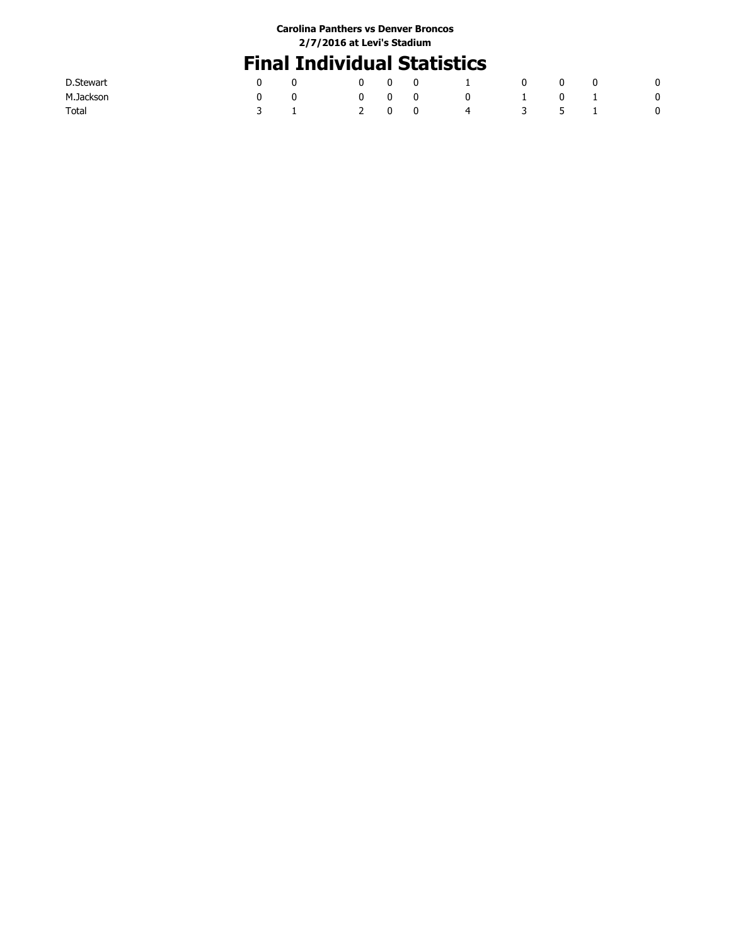### **Final Individual Statistics**

| D.Stewart |  |                   | $0 \quad 0 \quad 0 \qquad 1$   | $\begin{array}{ccc} & & 0 & \quad & 0 \end{array}$ |  | - 0                      |
|-----------|--|-------------------|--------------------------------|----------------------------------------------------|--|--------------------------|
| M.Jackson |  | $0\quad 0\quad 0$ | $0 \qquad 1 \qquad 0 \qquad 1$ |                                                    |  | $\overline{\phantom{0}}$ |
| Total     |  |                   | 2 0 0 4 3 5 1                  |                                                    |  | $\overline{\phantom{0}}$ |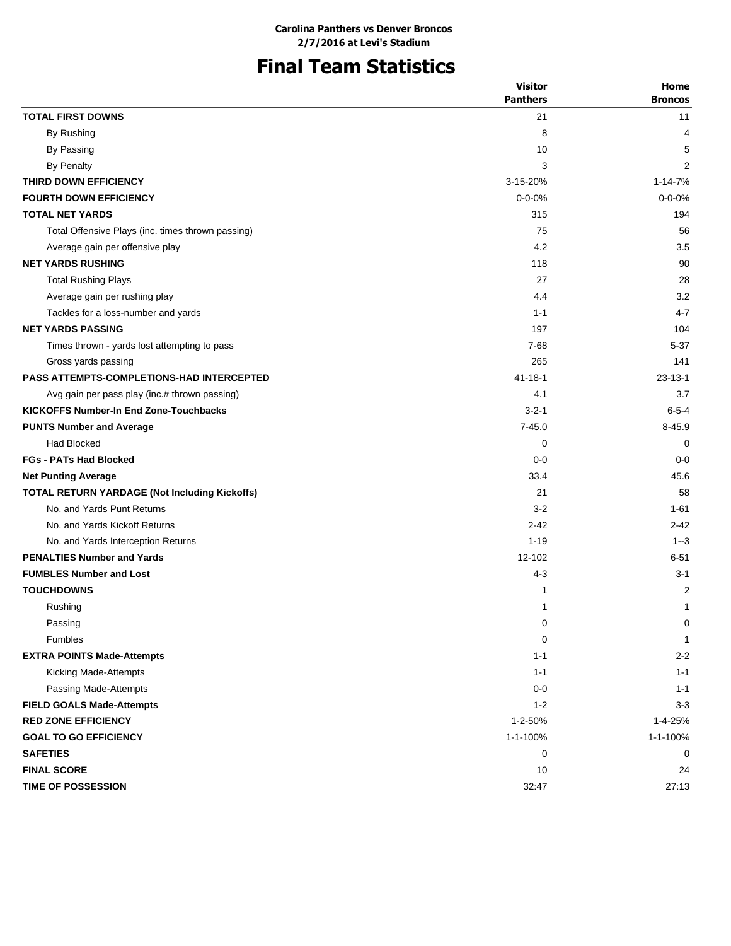# **Final Team Statistics**

|                                                      | <b>Visitor</b><br><b>Panthers</b> | Home<br><b>Broncos</b> |
|------------------------------------------------------|-----------------------------------|------------------------|
| <b>TOTAL FIRST DOWNS</b>                             | 21                                | 11                     |
| By Rushing                                           | 8                                 | 4                      |
| By Passing                                           | 10                                | 5                      |
| <b>By Penalty</b>                                    | 3                                 | 2                      |
| THIRD DOWN EFFICIENCY                                | 3-15-20%                          | 1-14-7%                |
| <b>FOURTH DOWN EFFICIENCY</b>                        | $0 - 0 - 0%$                      | $0 - 0 - 0%$           |
| <b>TOTAL NET YARDS</b>                               | 315                               | 194                    |
| Total Offensive Plays (inc. times thrown passing)    | 75                                | 56                     |
| Average gain per offensive play                      | 4.2                               | 3.5                    |
| <b>NET YARDS RUSHING</b>                             | 118                               | 90                     |
| <b>Total Rushing Plays</b>                           | 27                                | 28                     |
| Average gain per rushing play                        | 4.4                               | 3.2                    |
| Tackles for a loss-number and yards                  | $1 - 1$                           | $4 - 7$                |
| <b>NET YARDS PASSING</b>                             | 197                               | 104                    |
| Times thrown - yards lost attempting to pass         | 7-68                              | $5 - 37$               |
| Gross yards passing                                  | 265                               | 141                    |
| <b>PASS ATTEMPTS-COMPLETIONS-HAD INTERCEPTED</b>     | $41 - 18 - 1$                     | $23 - 13 - 1$          |
| Avg gain per pass play (inc.# thrown passing)        | 4.1                               | 3.7                    |
| <b>KICKOFFS Number-In End Zone-Touchbacks</b>        | $3 - 2 - 1$                       | $6 - 5 - 4$            |
| <b>PUNTS Number and Average</b>                      | $7 - 45.0$                        | $8 - 45.9$             |
| Had Blocked                                          | 0                                 | 0                      |
| <b>FGs - PATs Had Blocked</b>                        | $0 - 0$                           | $0 - 0$                |
| <b>Net Punting Average</b>                           | 33.4                              | 45.6                   |
| <b>TOTAL RETURN YARDAGE (Not Including Kickoffs)</b> | 21                                | 58                     |
| No. and Yards Punt Returns                           | $3-2$                             | 1-61                   |
| No. and Yards Kickoff Returns                        | $2 - 42$                          | $2 - 42$               |
| No. and Yards Interception Returns                   | $1 - 19$                          | $1 - 3$                |
| <b>PENALTIES Number and Yards</b>                    | 12-102                            | $6 - 51$               |
| <b>FUMBLES Number and Lost</b>                       | $4 - 3$                           | $3 - 1$                |
| <b>TOUCHDOWNS</b>                                    | 1                                 | 2                      |
| Rushing                                              | 1                                 | 1                      |
| Passing                                              | 0                                 | 0                      |
| <b>Fumbles</b>                                       | $\mathbf 0$                       | 1                      |
| <b>EXTRA POINTS Made-Attempts</b>                    | $1 - 1$                           | $2 - 2$                |
| Kicking Made-Attempts                                | $1 - 1$                           | $1 - 1$                |
| Passing Made-Attempts                                | $0-0$                             | $1 - 1$                |
| <b>FIELD GOALS Made-Attempts</b>                     | $1 - 2$                           | $3 - 3$                |
| <b>RED ZONE EFFICIENCY</b>                           | 1-2-50%                           | 1-4-25%                |
| <b>GOAL TO GO EFFICIENCY</b>                         | 1-1-100%                          | 1-1-100%               |
| <b>SAFETIES</b>                                      | 0                                 | 0                      |
| <b>FINAL SCORE</b>                                   | 10                                | 24                     |
| <b>TIME OF POSSESSION</b>                            | 32:47                             | 27:13                  |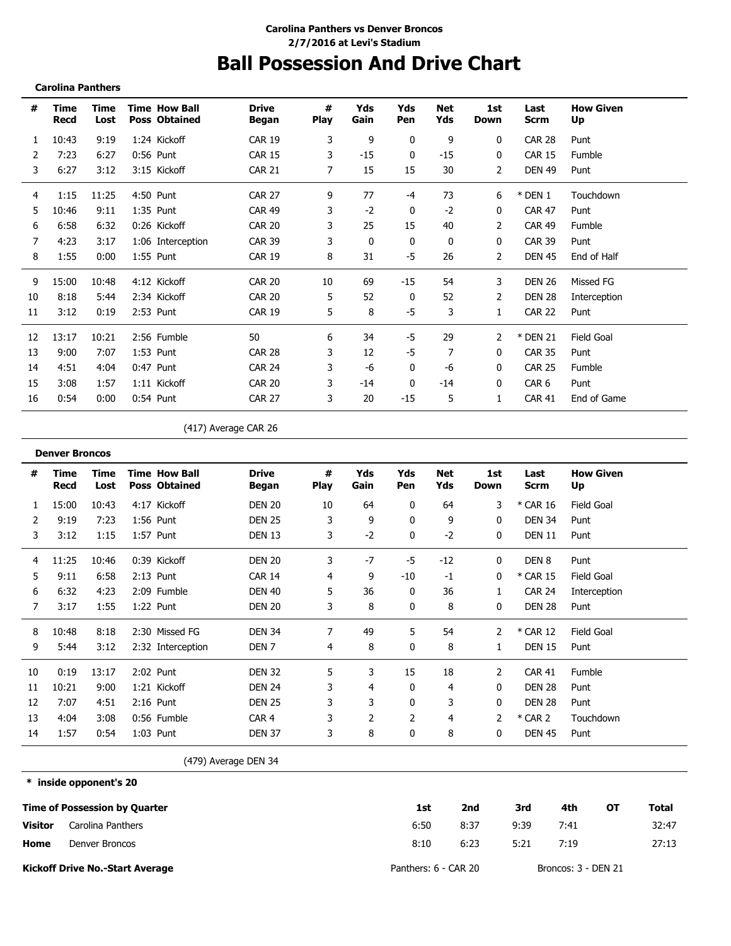### **Ball Possession And Drive Chart**

**Carolina Panthers**

**\* inside opponent's 20**

| #  | Time<br>Recd | Time<br>Lost | <b>Time How Ball</b><br><b>Poss Obtained</b> | <b>Drive</b><br>Began | #<br><b>Play</b> | Yds<br>Gain  | Yds<br>Pen | Net<br>Yds | 1st<br>Down    | Last<br><b>Scrm</b> | <b>How Given</b><br>Up |
|----|--------------|--------------|----------------------------------------------|-----------------------|------------------|--------------|------------|------------|----------------|---------------------|------------------------|
| 1  | 10:43        | 9:19         | 1:24 Kickoff                                 | <b>CAR 19</b>         | 3                | 9            | 0          | 9          | 0              | <b>CAR 28</b>       | Punt                   |
| 2  | 7:23         | 6:27         | $0:56$ Punt                                  | <b>CAR 15</b>         | 3                | $-15$        | 0          | $-15$      | 0              | <b>CAR 15</b>       | Fumble                 |
| 3  | 6:27         | 3:12         | 3:15 Kickoff                                 | <b>CAR 21</b>         | 7                | 15           | 15         | 30         | 2              | <b>DEN 49</b>       | Punt                   |
| 4  | 1:15         | 11:25        | 4:50 Punt                                    | <b>CAR 27</b>         | 9                | 77           | -4         | 73         | 6              | * DEN 1             | Touchdown              |
| 5  | 10:46        | 9:11         | $1:35$ Punt                                  | <b>CAR 49</b>         | 3                | $-2$         | 0          | $-2$       | 0              | <b>CAR 47</b>       | Punt                   |
| 6  | 6:58         | 6:32         | 0:26 Kickoff                                 | <b>CAR 20</b>         | 3                | 25           | 15         | 40         | $\overline{2}$ | <b>CAR 49</b>       | Fumble                 |
| 7  | 4:23         | 3:17         | 1:06 Interception                            | <b>CAR 39</b>         | 3                | $\mathbf{0}$ | 0          | 0          | 0              | <b>CAR 39</b>       | Punt                   |
| 8  | 1:55         | 0:00         | 1:55 Punt                                    | <b>CAR 19</b>         | 8                | 31           | -5         | 26         | 2              | <b>DEN 45</b>       | End of Half            |
| 9  | 15:00        | 10:48        | 4:12 Kickoff                                 | <b>CAR 20</b>         | 10               | 69           | $-15$      | 54         | 3              | <b>DEN 26</b>       | Missed FG              |
| 10 | 8:18         | 5:44         | 2:34 Kickoff                                 | <b>CAR 20</b>         | 5                | 52           | 0          | 52         | 2              | <b>DEN 28</b>       | Interception           |
| 11 | 3:12         | 0:19         | 2:53 Punt                                    | <b>CAR 19</b>         | 5                | 8            | -5         | 3          | 1              | <b>CAR 22</b>       | Punt                   |
| 12 | 13:17        | 10:21        | 2:56 Fumble                                  | 50                    | 6                | 34           | -5         | 29         | 2              | * DEN 21            | Field Goal             |
| 13 | 9:00         | 7:07         | 1:53 Punt                                    | <b>CAR 28</b>         | 3                | 12           | -5         | 7          | 0              | <b>CAR 35</b>       | Punt                   |
| 14 | 4:51         | 4:04         | $0:47$ Punt                                  | <b>CAR 24</b>         | 3                | -6           | 0          | -6         | 0              | <b>CAR 25</b>       | Fumble                 |
| 15 | 3:08         | 1:57         | 1:11 Kickoff                                 | <b>CAR 20</b>         | 3                | $-14$        | 0          | -14        | 0              | CAR <sub>6</sub>    | Punt                   |
| 16 | 0:54         | 0:00         | $0:54$ Punt                                  | <b>CAR 27</b>         | 3                | 20           | $-15$      | 5          | 1              | <b>CAR 41</b>       | End of Game            |

(417) Average CAR 26

|    | <b>Denver Broncos</b> |              |                                              |                       |                  |             |            |            |             |               |                        |
|----|-----------------------|--------------|----------------------------------------------|-----------------------|------------------|-------------|------------|------------|-------------|---------------|------------------------|
| #  | Time<br>Recd          | Time<br>Lost | <b>Time How Ball</b><br><b>Poss Obtained</b> | <b>Drive</b><br>Began | #<br><b>Play</b> | Yds<br>Gain | Yds<br>Pen | Net<br>Yds | 1st<br>Down | Last<br>Scrm  | <b>How Given</b><br>Up |
|    | 15:00                 | 10:43        | 4:17 Kickoff                                 | <b>DEN 20</b>         | 10               | 64          | 0          | 64         | 3           | * CAR 16      | Field Goal             |
|    | 9:19                  | 7:23         | 1:56 Punt                                    | <b>DEN 25</b>         | 3                | 9           | 0          | 9          | 0           | <b>DEN 34</b> | Punt                   |
| 3  | 3:12                  | 1:15         | 1:57 Punt                                    | <b>DEN 13</b>         | 3                | $-2$        | 0          | $-2$       | 0           | <b>DEN 11</b> | Punt                   |
| 4  | 11:25                 | 10:46        | 0:39 Kickoff                                 | <b>DEN 20</b>         | 3                | $-7$        | -5         | $-12$      | 0           | DEN 8         | Punt                   |
| 5  | 9:11                  | 6:58         | $2:13$ Punt                                  | <b>CAR 14</b>         | 4                | 9           | $-10$      | $-1$       | 0           | * CAR 15      | Field Goal             |
| 6  | 6:32                  | 4:23         | 2:09 Fumble                                  | <b>DEN 40</b>         | 5                | 36          | 0          | 36         |             | <b>CAR 24</b> | Interception           |
| 7  | 3:17                  | 1:55         | 1:22 Punt                                    | <b>DEN 20</b>         | 3                | 8           | 0          | 8          | 0           | <b>DEN 28</b> | Punt                   |
| 8  | 10:48                 | 8:18         | 2:30 Missed FG                               | DEN 34                | 7                | 49          | 5          | 54         | 2           | * CAR 12      | Field Goal             |
| 9  | 5:44                  | 3:12         | 2:32 Interception                            | DEN 7                 | 4                | 8           | 0          | 8          |             | <b>DEN 15</b> | Punt                   |
| 10 | 0:19                  | 13:17        | 2:02 Punt                                    | <b>DEN 32</b>         | 5                | 3           | 15         | 18         | 2           | CAR 41        | Fumble                 |
| 11 | 10:21                 | 9:00         | 1:21 Kickoff                                 | DEN 24                | 3                | 4           | 0          | 4          | 0           | DEN 28        | Punt                   |
| 12 | 7:07                  | 4:51         | $2:16$ Punt                                  | <b>DEN 25</b>         |                  | 3           | 0          | 3          | 0           | <b>DEN 28</b> | Punt                   |
| 13 | 4:04                  | 3:08         | 0:56 Fumble                                  | CAR <sub>4</sub>      |                  | 2           | 2          | 4          | 2           | $*$ CAR 2     | Touchdown              |
| 14 | 1:57                  | 0:54         | $1:03$ Punt                                  | <b>DEN 37</b>         | 3                | 8           | 0          | 8          | 0           | <b>DEN 45</b> | Punt                   |

(479) Average DEN 34

**Time of Possession by Quarter Home Visitor Kickoff Drive No.-Start Average 1st 2nd 3rd 4th OT Total** 6:50 8:10 8:37 9:39 7:41 32:47 6:23 5:21 7:19 27:13 Panthers: 6 - CAR 20 Broncos: 3 - DEN 21 Carolina Panthers Denver Broncos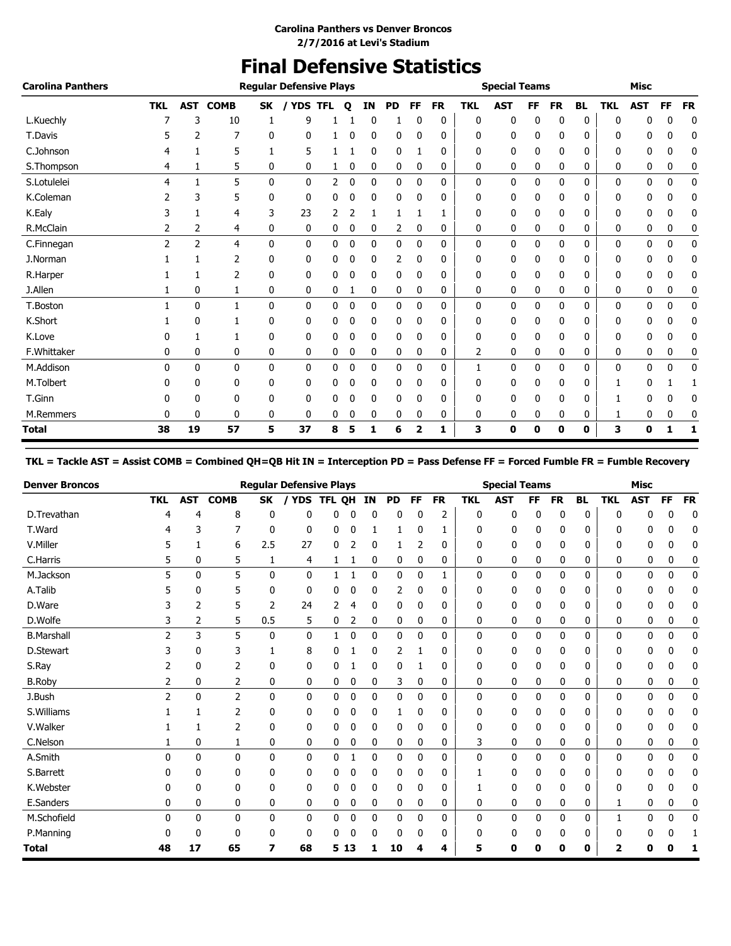### **Final Defensive Statistics**

| <b>Carolina Panthers</b> |            |              |                 |              | <b>Regular Defensive Plays</b> |            |              |    |           |             |             |            | <b>Special Teams</b> |              |           |              |            | <b>Misc</b> |    |           |
|--------------------------|------------|--------------|-----------------|--------------|--------------------------------|------------|--------------|----|-----------|-------------|-------------|------------|----------------------|--------------|-----------|--------------|------------|-------------|----|-----------|
|                          | <b>TKL</b> |              | <b>AST COMB</b> | <b>SK</b>    | / YDS                          | <b>TFL</b> | $\mathbf{o}$ | IN | <b>PD</b> | FF          | <b>FR</b>   | <b>TKL</b> | <b>AST</b>           | FF           | <b>FR</b> | <b>BL</b>    | <b>TKL</b> | <b>AST</b>  | FF | <b>FR</b> |
| L.Kuechly                |            | 3            | 10              | 1            | 9                              |            |              | 0  |           | 0           | $\mathbf 0$ | 0          | 0                    | $\mathbf{0}$ | 0         | $\mathbf{0}$ | 0          | 0           | 0  | $\bf{0}$  |
| T.Davis                  |            | 2            |                 | 0            | 0                              |            |              | 0  | 0         | 0           | 0           | 0          | 0                    | 0            | 0         | 0            | 0          | 0           | 0  | 0         |
| C.Johnson                |            |              | 5               | 1            | 5                              |            |              | 0  | 0         |             | 0           | 0          | 0                    | 0            | 0         | 0            | 0          | 0           | 0  | 0         |
| S.Thompson               | 4          |              | 5               | 0            | 0                              |            | 0            | 0  | 0         | 0           | 0           | 0          | 0                    | 0            | 0         | 0            | 0          | 0           | 0  | 0         |
| S.Lotulelei              | 4          |              | 5               | $\mathbf{0}$ | 0                              | 2          | 0            | 0  | 0         | 0           | 0           | 0          | 0                    | 0            | 0         | 0            | 0          | 0           | 0  | 0         |
| K.Coleman                |            | 3            | 5               | 0            | 0                              | 0          | 0            | 0  | 0         | 0           | 0           | 0          | 0                    | 0            | 0         | 0            | 0          | 0           | 0  | 0         |
| K.Ealy                   |            |              | 4               | 3            | 23                             | 2          |              |    |           |             | 1           | 0          | 0                    | 0            | 0         | 0            | 0          | 0           | 0  | 0         |
| R.McClain                | 2          | 2            | 4               | 0            | 0                              | 0          | 0            | 0  | 2         | 0           | 0           | 0          | 0                    | 0            | 0         | 0            | 0          | 0           | 0  | 0         |
| C.Finnegan               | 2          | 2            | 4               | $\mathbf{0}$ | 0                              | 0          | 0            | 0  | 0         | 0           | 0           | 0          | 0                    | 0            | 0         | 0            | 0          | 0           | 0  | 0         |
| J.Norman                 |            |              | 2               | 0            | 0                              | 0          | 0            | 0  | 2         | 0           | 0           | 0          | 0                    | 0            | 0         | 0            | 0          | 0           | 0  | 0         |
| R.Harper                 |            |              | 2               | 0            | 0                              | 0          | 0            | 0  | 0         | 0           | 0           | 0          | 0                    | 0            | 0         | 0            | 0          | 0           | 0  | 0         |
| J.Allen                  |            | 0            | 1               | 0            | 0                              | 0          |              | 0  | 0         | 0           | 0           | 0          | 0                    | 0            | 0         | 0            | 0          | 0           | 0  | 0         |
| T.Boston                 |            | 0            | $\mathbf{1}$    | 0            | 0                              | 0          | 0            | 0  | 0         | 0           | 0           | 0          | 0                    | 0            | 0         | 0            | 0          | 0           | 0  | 0         |
| K.Short                  |            | 0            |                 | 0            | 0                              | 0          | 0            | 0  | 0         | 0           | 0           | 0          | 0                    | 0            | 0         | 0            | 0          | 0           | 0  | 0         |
| K.Love                   |            |              |                 | 0            | 0                              | 0          | 0            | 0  | 0         | 0           | 0           | 0          | 0                    | 0            | 0         | 0            | 0          | 0           | 0  | 0         |
| F.Whittaker              | 0          | 0            | 0               | 0            | 0                              | 0          | 0            | 0  | 0         | 0           | 0           | 2          | 0                    | 0            | 0         | 0            | 0          | 0           | 0  | 0         |
| M.Addison                | $\Omega$   | $\mathbf{0}$ | 0               | $\mathbf{0}$ | 0                              | 0          | 0            | 0  | 0         | $\mathbf 0$ | 0           | 1          | 0                    | 0            | 0         | 0            | 0          | 0           | 0  | 0         |
| M.Tolbert                | 0          | 0            | 0               | 0            | 0                              | 0          | 0            | 0  | 0         | 0           | 0           | 0          | 0                    | 0            | 0         | 0            |            | 0           |    |           |
| T.Ginn                   |            | 0            | 0               | 0            | 0                              | 0          |              | 0  | 0         | 0           | 0           | 0          | 0                    | 0            | 0         | 0            |            | 0           | 0  | 0         |
| M.Remmers                | 0          | 0            | 0               | 0            | 0                              | 0          | 0            | 0  | 0         | 0           | 0           | 0          | 0                    | 0            | 0         | 0            | 1          | 0           | 0  | 0         |
| <b>Total</b>             | 38         | 19           | 57              | 5            | 37                             | 8          | 5            | 1  | 6         | 2           | 1           | 3          | 0                    | 0            | 0         | 0            | 3          | 0           | 1  | 1         |

### **TKL = Tackle AST = Assist COMB = Combined QH=QB Hit IN = Interception PD = Pass Defense FF = Forced Fumble FR = Fumble Recovery**

| <b>Denver Broncos</b> |            |              |                |              | <b>Regular Defensive Plays</b> |        |      |    |              |    |           |              | <b>Special Teams</b> |              |           |              |            | <b>Misc</b> |    |              |
|-----------------------|------------|--------------|----------------|--------------|--------------------------------|--------|------|----|--------------|----|-----------|--------------|----------------------|--------------|-----------|--------------|------------|-------------|----|--------------|
|                       | <b>TKL</b> | <b>AST</b>   | <b>COMB</b>    | <b>SK</b>    | <b>YDS</b>                     | TFL QH |      | ΙN | <b>PD</b>    | FF | <b>FR</b> | TKL          | <b>AST</b>           | <b>FF</b>    | <b>FR</b> | <b>BL</b>    | <b>TKL</b> | <b>AST</b>  | FF | <b>FR</b>    |
| D.Trevathan           | 4          | 4            | 8              | 0            | 0                              | 0      | 0    | 0  | 0            | 0  | 2         | 0            | 0                    | 0            | 0         | 0            | 0          | 0           | 0  | $\mathbf{0}$ |
| T.Ward                | 4          | 3            | 7              | 0            | 0                              | 0      | 0    |    | 1            | 0  | 1         | 0            | 0                    | 0            | 0         | 0            | 0          | 0           | 0  | 0            |
| V.Miller              | 5          |              | 6              | 2.5          | 27                             | 0      | 2    | 0  |              | 2  | 0         | 0            | 0                    | 0            | 0         | 0            | 0          | 0           | 0  | 0            |
| C.Harris              | 5          | 0            | 5              | 1            | 4                              | 1      |      | 0  | 0            | 0  | 0         | 0            | 0                    | 0            | 0         | 0            | 0          | 0           | 0  | 0            |
| M.Jackson             | 5          | $\mathbf{0}$ | 5              | $\mathbf{0}$ | $\mathbf{0}$                   | 1      |      | 0  | 0            | 0  | 1         | $\mathbf{0}$ | 0                    | 0            | 0         | 0            | 0          | 0           | 0  | 0            |
| A.Talib               |            | 0            | 5              | 0            | 0                              | 0      | 0    | 0  | 2            | 0  | 0         | 0            | 0                    | 0            | 0         | 0            | 0          | 0           | 0  | 0            |
| D.Ware                |            | 2            | 5              | 2            | 24                             |        | 4    | 0  | 0            | 0  | 0         | 0            | 0                    | 0            | 0         | 0            | 0          | 0           | 0  | 0            |
| D.Wolfe               | 3          | 2            | 5              | 0.5          | 5                              | 0      | 2    | 0  | 0            | 0  | 0         | 0            | 0                    | 0            | 0         | 0            | 0          | 0           | 0  | 0            |
| <b>B.Marshall</b>     | 2          | 3            | 5              | $\mathbf{0}$ | 0                              |        | 0    | 0  | 0            | 0  | 0         | 0            | 0                    | 0            | 0         | 0            | 0          | 0           | 0  | 0            |
| D.Stewart             | 3          | 0            | 3              |              | 8                              | 0      |      | 0  | 2            |    | 0         | 0            | 0                    | 0            | 0         | 0            | 0          | 0           | 0  | 0            |
| S.Ray                 |            | 0            | 2              | 0            | 0                              | 0      |      | 0  | 0            |    | 0         | 0            | 0                    | 0            | 0         | 0            | 0          | 0           | 0  | 0            |
| <b>B.Roby</b>         | 2          | 0            | 2              | 0            | 0                              | 0      | 0    | 0  | 3            | 0  | 0         | 0            | 0                    | 0            | 0         | 0            | 0          | 0           | 0  | 0            |
| J.Bush                | 2          | $\mathbf{0}$ | $\overline{2}$ | $\mathbf{0}$ | 0                              | 0      | 0    | 0  | 0            | 0  | 0         | 0            | 0                    | 0            | 0         | 0            | 0          | 0           | 0  | 0            |
| S.Williams            |            |              | 2              | 0            | 0                              | 0      | 0    | 0  | 1            | 0  | 0         | 0            | 0                    | 0            | 0         | 0            | 0          | 0           | 0  | 0            |
| V.Walker              |            | 1            | $\overline{2}$ | 0            | 0                              | 0      | 0    | 0  | 0            | 0  | 0         | 0            | 0                    | 0            | 0         | 0            | 0          | 0           | 0  | 0            |
| C.Nelson              |            | 0            | 1              | 0            | 0                              | 0      | 0    | 0  | 0            | 0  | 0         | 3            | 0                    | 0            | 0         | 0            | 0          | 0           | 0  | 0            |
| A.Smith               | 0          | $\mathbf{0}$ | $\mathbf{0}$   | $\mathbf{0}$ | $\mathbf{0}$                   | 0      | 1    | 0  | $\mathbf{0}$ | 0  | 0         | $\mathbf{0}$ | $\mathbf{0}$         | $\mathbf{0}$ | 0         | $\mathbf{0}$ | 0          | 0           | 0  | 0            |
| S.Barrett             | 0          | 0            | 0              | 0            | 0                              | 0      | 0    | 0  | 0            | 0  | 0         |              | 0                    | 0            | 0         | 0            | 0          | 0           | U  | 0            |
| K.Webster             | 0          | 0            | 0              | 0            | 0                              | 0      | 0    | 0  | 0            | 0  | 0         |              | 0                    | 0            | 0         | 0            | 0          | 0           | 0  | 0            |
| E.Sanders             | 0          | 0            | 0              | 0            | 0                              | 0      | 0    | 0  | 0            | 0  | 0         | 0            | 0                    | 0            | 0         | 0            | 1          | 0           | 0  | 0            |
| M.Schofield           | 0          | $\mathbf{0}$ | $\mathbf{0}$   | $\mathbf{0}$ | 0                              | 0      | 0    | 0  | $\mathbf{0}$ | 0  | 0         | 0            | 0                    | 0            | 0         | 0            |            | 0           | 0  | 0            |
| P.Manning             |            | 0            | 0              | 0            | 0                              | 0      | 0    | U  | 0            | 0  | 0         | 0            | 0                    | 0            | 0         | 0            | 0          |             | 0  |              |
| <b>Total</b>          | 48         | 17           | 65             | 7            | 68                             |        | 5 13 |    | 10           | 4  | 4         | 5            | 0                    | 0            | 0         | 0            | 2          | Ω           |    |              |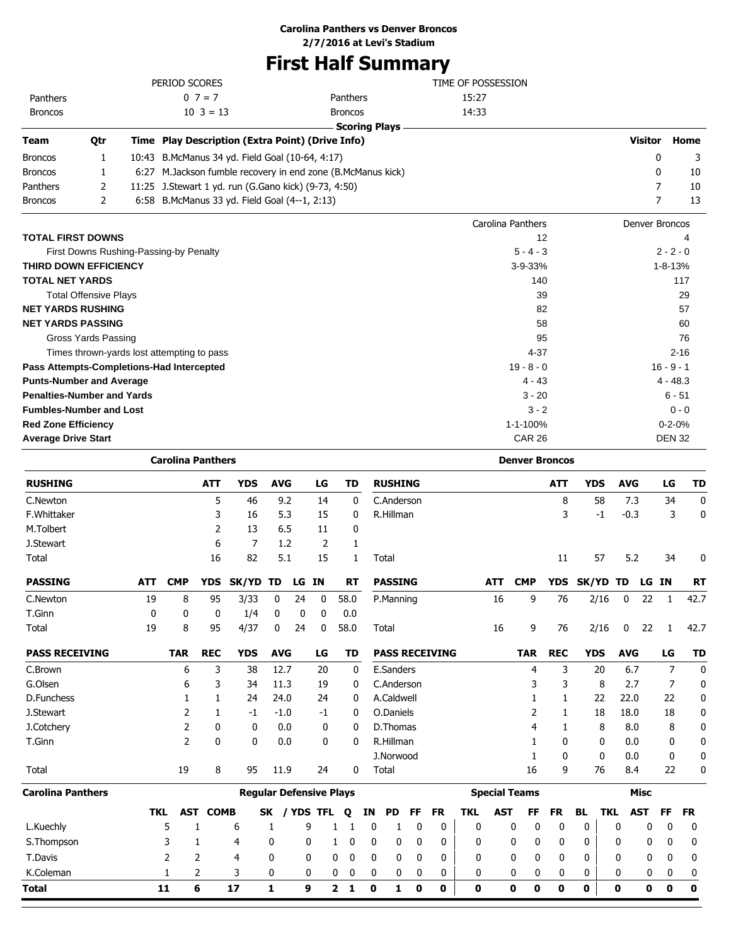### **Carolina Panthers vs Denver Broncos**

**2/7/2016 at Levi's Stadium**

# **First Half Summary**

|                                   |                              |       | PERIOD SCORES                                        |                                                        | TIME OF POSSESSION |                       |               |
|-----------------------------------|------------------------------|-------|------------------------------------------------------|--------------------------------------------------------|--------------------|-----------------------|---------------|
| Panthers                          |                              |       | $0 \ 7 = 7$                                          | Panthers                                               | 15:27              |                       |               |
| <b>Broncos</b>                    |                              |       | $10 \ \ 3 = 13$                                      | <b>Broncos</b>                                         | 14:33              |                       |               |
|                                   |                              |       |                                                      | <b>Scoring Plays</b>                                   |                    |                       |               |
| Team                              | Qtr                          |       | Time Play Description (Extra Point) (Drive Info)     |                                                        |                    | <b>Visitor</b>        | Home          |
| <b>Broncos</b>                    | 1                            | 10:43 | B.McManus 34 yd. Field Goal (10-64, 4:17)            |                                                        |                    | 0                     | 3             |
| <b>Broncos</b>                    | 1                            | 6:27  |                                                      | M.Jackson fumble recovery in end zone (B.McManus kick) |                    | 0                     | 10            |
| Panthers                          | 2                            |       | 11:25 J.Stewart 1 yd. run (G.Gano kick) (9-73, 4:50) |                                                        |                    | 7                     | 10            |
| <b>Broncos</b>                    | 2                            |       | 6:58 B.McManus 33 yd. Field Goal (4--1, 2:13)        |                                                        |                    | 7                     | 13            |
|                                   |                              |       |                                                      |                                                        | Carolina Panthers  | <b>Denver Broncos</b> |               |
| <b>TOTAL FIRST DOWNS</b>          |                              |       |                                                      |                                                        | 12                 |                       |               |
|                                   |                              |       | First Downs Rushing-Passing-by Penalty               |                                                        | $5 - 4 - 3$        |                       | $2 - 2 - 0$   |
| <b>THIRD DOWN EFFICIENCY</b>      |                              |       |                                                      |                                                        | $3 - 9 - 33%$      |                       | $1 - 8 - 13%$ |
| <b>TOTAL NET YARDS</b>            |                              |       |                                                      |                                                        | 140                |                       | 117           |
|                                   | <b>Total Offensive Plays</b> |       |                                                      |                                                        | 39                 |                       | 29            |
| <b>NET YARDS RUSHING</b>          |                              |       |                                                      |                                                        | 82                 |                       | 57            |
| <b>NET YARDS PASSING</b>          |                              |       |                                                      |                                                        | 58                 |                       | 60            |
|                                   | Gross Yards Passing          |       |                                                      |                                                        | 95                 |                       | 76            |
|                                   |                              |       | Times thrown-yards lost attempting to pass           |                                                        | $4 - 37$           |                       | $2 - 16$      |
|                                   |                              |       | Pass Attempts-Completions-Had Intercepted            |                                                        | $19 - 8 - 0$       |                       | $16 - 9 - 1$  |
| <b>Punts-Number and Average</b>   |                              |       |                                                      |                                                        | $4 - 43$           |                       | $4 - 48.3$    |
| <b>Penalties-Number and Yards</b> |                              |       |                                                      |                                                        | $3 - 20$           |                       | $6 - 51$      |
| <b>Fumbles-Number and Lost</b>    |                              |       |                                                      |                                                        | $3 - 2$            |                       | $0 - 0$       |
| <b>Red Zone Efficiency</b>        |                              |       |                                                      |                                                        | 1-1-100%           |                       | $0 - 2 - 0%$  |

**Average Drive Start CAR 26** DEN 32

|                          |            | <b>Carolina Panthers</b> |              |                                |              |           |      |                |              |             |                |             |                       |              |            | <b>Denver Broncos</b> |              |              |            |            |             |                |             |
|--------------------------|------------|--------------------------|--------------|--------------------------------|--------------|-----------|------|----------------|--------------|-------------|----------------|-------------|-----------------------|--------------|------------|-----------------------|--------------|--------------|------------|------------|-------------|----------------|-------------|
| <b>RUSHING</b>           |            |                          | <b>ATT</b>   | <b>YDS</b>                     | <b>AVG</b>   |           | LG   |                | <b>TD</b>    |             | <b>RUSHING</b> |             |                       |              |            |                       | <b>ATT</b>   | <b>YDS</b>   |            | <b>AVG</b> |             | LG             | <b>TD</b>   |
| C.Newton                 |            |                          | 5            | 46                             |              | 9.2       | 14   |                | 0            |             | C.Anderson     |             |                       |              |            |                       | 8            |              | 58         | 7.3        |             | 34             | $\mathbf 0$ |
| F.Whittaker              |            |                          | 3            | 16                             |              | 5.3       | 15   |                | 0            |             | R.Hillman      |             |                       |              |            |                       | 3            |              | $-1$       | $-0.3$     |             | 3              | $\mathbf 0$ |
| M.Tolbert                |            |                          | 2            | 13                             |              | 6.5       | 11   |                | 0            |             |                |             |                       |              |            |                       |              |              |            |            |             |                |             |
| J.Stewart                |            |                          | 6            | 7                              |              | 1.2       | 2    |                | 1            |             |                |             |                       |              |            |                       |              |              |            |            |             |                |             |
| Total                    |            |                          | 16           | 82                             |              | 5.1       | 15   |                | 1            |             | Total          |             |                       |              |            |                       | 11           |              | 57         | 5.2        |             | 34             | 0           |
| <b>PASSING</b>           | <b>ATT</b> | <b>CMP</b>               | <b>YDS</b>   | SK/YD                          | TD           | LG        | IN   |                | <b>RT</b>    |             | <b>PASSING</b> |             |                       |              | <b>ATT</b> | <b>CMP</b>            | <b>YDS</b>   | <b>SK/YD</b> |            | TD         | LG IN       |                | <b>RT</b>   |
| C.Newton                 | 19         | 8                        | 95           | 3/33                           | 0            | 24        | 0    |                | 58.0         |             | P.Manning      |             |                       |              | 16         | 9                     | 76           |              | 2/16       | 0          | 22          | $\mathbf{1}$   | 42.7        |
| T.Ginn                   | 0          | 0                        | 0            | 1/4                            | 0            | 0         | 0    |                | 0.0          |             |                |             |                       |              |            |                       |              |              |            |            |             |                |             |
| Total                    | 19         | 8                        | 95           | 4/37                           | 0            | 24        | 0    |                | 58.0         |             | Total          |             |                       |              | 16         | 9                     | 76           |              | 2/16       | 0          | 22          | 1              | 42.7        |
| <b>PASS RECEIVING</b>    |            | <b>TAR</b>               | <b>REC</b>   | <b>YDS</b>                     | <b>AVG</b>   |           | LG   |                | TD           |             |                |             | <b>PASS RECEIVING</b> |              |            | <b>TAR</b>            | <b>REC</b>   | <b>YDS</b>   |            | <b>AVG</b> |             | LG             | <b>TD</b>   |
| C.Brown                  |            | 6                        | 3            | 38                             | 12.7         |           | 20   |                | 0            |             | E.Sanders      |             |                       |              |            | 4                     | 3            |              | 20         | 6.7        |             | $\overline{7}$ | $\mathbf 0$ |
| G.Olsen                  |            | 6                        | 3            | 34                             | 11.3         |           | 19   |                | 0            |             | C.Anderson     |             |                       |              |            | 3                     | 3            |              | 8          | 2.7        |             | 7              | 0           |
| D.Funchess               |            | 1                        | 1            | 24                             | 24.0         |           | 24   |                | 0            |             | A.Caldwell     |             |                       |              |            | 1                     | 1            |              | 22         | 22.0       |             | 22             | 0           |
| J.Stewart                |            | 2                        | 1            | $-1$                           | $-1.0$       |           | $-1$ |                | 0            |             | O.Daniels      |             |                       |              |            | 2                     | 1            |              | 18         | 18.0       |             | 18             | 0           |
| J.Cotchery               |            | 2                        | 0            | 0                              |              | 0.0       | 0    |                | 0            |             | D.Thomas       |             |                       |              |            | 4                     | 1            |              | 8          | 8.0        |             | 8              | 0           |
| T.Ginn                   |            | 2                        | $\mathbf{0}$ | 0                              |              | 0.0       | 0    |                | 0            |             | R.Hillman      |             |                       |              |            | 1                     | 0            |              | 0          | 0.0        |             | 0              | $\mathbf 0$ |
|                          |            |                          |              |                                |              |           |      |                |              |             | J.Norwood      |             |                       |              |            | 1                     | 0            |              | 0          | 0.0        |             | 0              | 0           |
| Total                    |            | 19                       | 8            | 95                             | 11.9         |           | 24   |                | $\mathbf{0}$ |             | Total          |             |                       |              |            | 16                    | 9            |              | 76         | 8.4        |             | 22             | 0           |
| <b>Carolina Panthers</b> |            |                          |              | <b>Regular Defensive Plays</b> |              |           |      |                |              |             |                |             |                       |              |            | <b>Special Teams</b>  |              |              |            |            | <b>Misc</b> |                |             |
|                          | <b>TKL</b> | AST                      | <b>COMB</b>  |                                | <b>SK</b>    | / YDS TFL |      |                | Q            | ΙN          | <b>PD</b>      | FF          | <b>FR</b>             | <b>TKL</b>   | <b>AST</b> | FF                    | <b>FR</b>    | <b>BL</b>    | <b>TKL</b> |            | <b>AST</b>  | <b>FF</b>      | <b>FR</b>   |
| L.Kuechly                |            | 5                        | 1            | 6                              | 1            |           | 9    | 1              | 1            | 0           | 1              | 0           | 0                     | $\Omega$     |            | 0<br>0                | $\mathbf 0$  | $\mathbf 0$  |            | 0          | 0           | 0              | 0           |
| S.Thompson               |            | 3                        | 1            | 4                              | 0            |           | 0    | 1              | 0            | 0           | 0              | 0           | 0                     | 0            |            | 0<br>0                | 0            | 0            |            | 0          | 0           | 0              | 0           |
| T.Davis                  |            | 2                        | 2            | 4                              | $\mathbf{0}$ |           | 0    | 0              | 0            | 0           | 0              | $\mathbf 0$ | 0                     | 0            |            | 0<br>0                | $\mathbf{0}$ | 0            |            | 0          | 0           | 0              | 0           |
| K.Coleman                |            | 1                        | 2            | 3                              | 0            |           | 0    | 0              | 0            | 0           | 0              | 0           | 0                     | 0            |            | 0<br>0                | 0            | 0            |            | 0          | 0           | 0              | 0           |
| <b>Total</b>             |            | 11                       | 6            | 17                             | $\mathbf{1}$ |           | 9    | $\overline{2}$ | 1            | $\mathbf 0$ | 1              | 0           | O                     | $\mathbf{0}$ |            | O<br>$\mathbf 0$      | O            | 0            |            | O          | $\mathbf 0$ | $\mathbf 0$    | $\mathbf 0$ |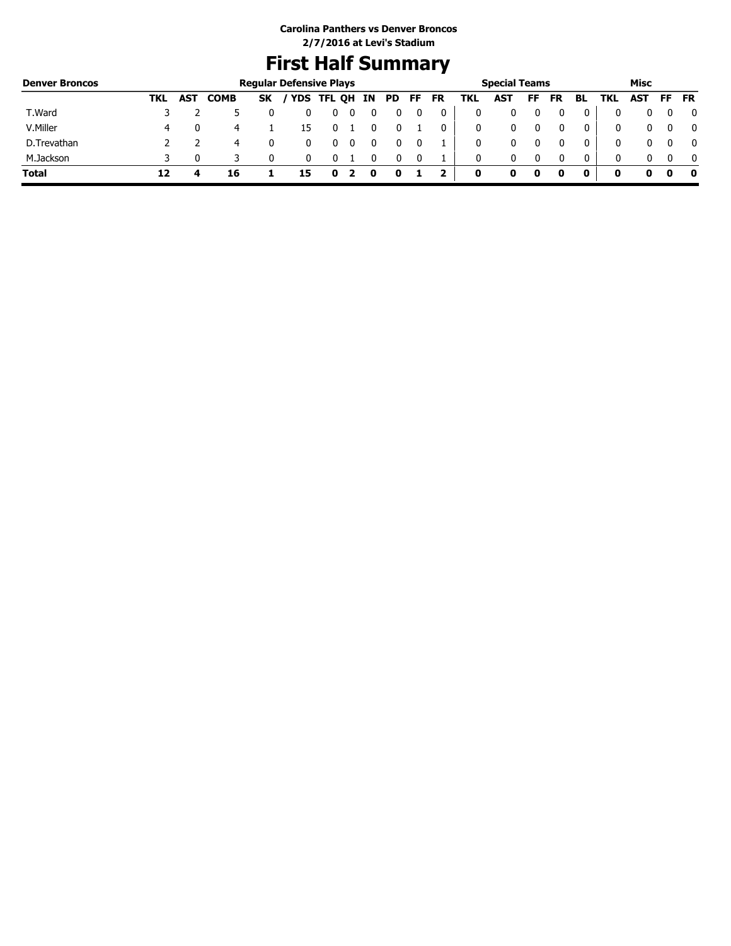# **First Half Summary**

| <b>Denver Broncos</b> |     |            |             |           | <b>Regular Defensive Plays</b> |            |    |    |      |           |     | <b>Special Teams</b> |    |           |    |     | Misc |              |
|-----------------------|-----|------------|-------------|-----------|--------------------------------|------------|----|----|------|-----------|-----|----------------------|----|-----------|----|-----|------|--------------|
|                       | TKL | <b>AST</b> | <b>COMB</b> | <b>SK</b> |                                | YDS TFL QH | IN | PD | FF . | <b>FR</b> | TKL | <b>AST</b>           | FF | <b>FR</b> | BL | TKL | AST  | FF FR        |
| T.Ward                |     |            |             |           |                                |            |    |    |      |           | 0   |                      |    |           |    |     |      | 0            |
| V.Miller              | 4   |            |             |           | 15                             |            |    |    |      | 0         | 0   |                      |    |           |    |     | 0    | $\mathbf{0}$ |
| D.Trevathan           |     |            |             |           |                                |            |    |    |      |           | 0   |                      |    |           |    | 0   | 0    | $\mathbf{0}$ |
| M.Jackson             |     |            |             |           |                                |            |    |    | - 0  |           | 0   | 0                    |    |           | 0  |     | n.   | 0            |
| <b>Total</b>          | 12  |            | 16          |           | 15                             | o          | o  |    |      |           | 0   | o                    | 0  |           |    |     |      | - 0          |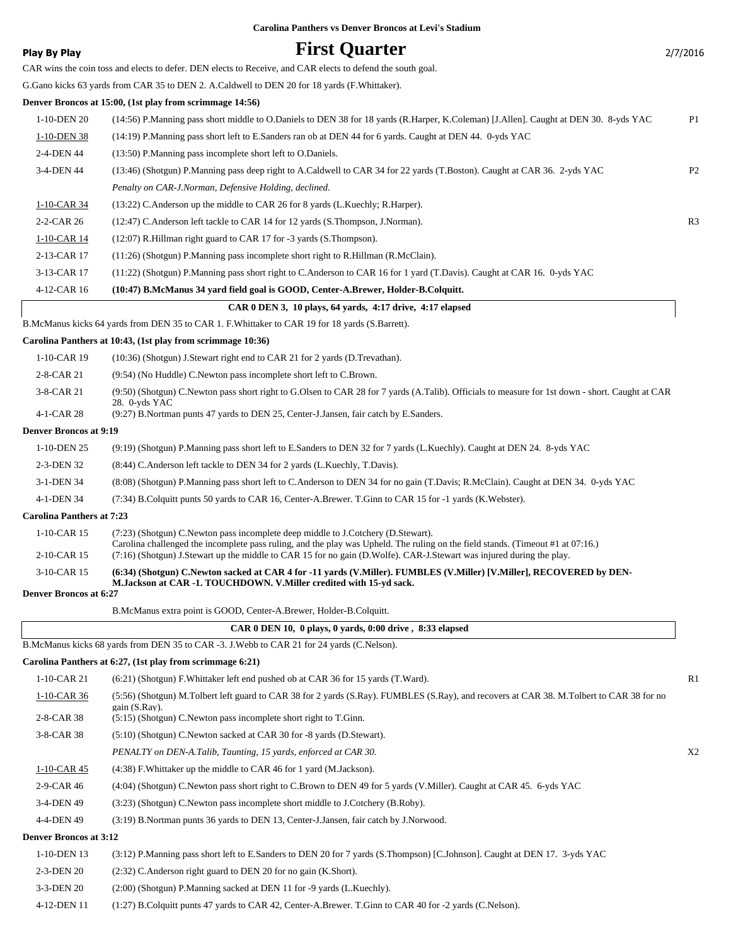### **Play By Play First Quarter** 2/7/2016 CAR wins the coin toss and elects to defer. DEN elects to Receive, and CAR elects to defend the south goal. G.Gano kicks 63 yards from CAR 35 to DEN 2. A.Caldwell to DEN 20 for 18 yards (F.Whittaker). **Denver Broncos at 15:00, (1st play from scrimmage 14:56)** 1-10-DEN 20 (14:56) P.Manning pass short middle to O.Daniels to DEN 38 for 18 yards (R.Harper, K.Coleman) [J.Allen]. Caught at DEN 30. 8-yds YAC P1 1-10-DEN 38 (14:19) P.Manning pass short left to E.Sanders ran ob at DEN 44 for 6 yards. Caught at DEN 44. 0-yds YAC 2-4-DEN 44 (13:50) P.Manning pass incomplete short left to O.Daniels. 3-4-DEN 44 (13:46) (Shotgun) P.Manning pass deep right to A.Caldwell to CAR 34 for 22 yards (T.Boston). Caught at CAR 36. 2-yds YAC P2 *Penalty on CAR-J.Norman, Defensive Holding, declined.* 1-10-CAR 34 (13:22) C.Anderson up the middle to CAR 26 for 8 yards (L.Kuechly; R.Harper). 2-2-CAR 26 (12:47) C.Anderson left tackle to CAR 14 for 12 yards (S.Thompson, J.Norman). R3 1-10-CAR 14 (12:07) R.Hillman right guard to CAR 17 for -3 yards (S.Thompson). 2-13-CAR 17 (11:26) (Shotgun) P.Manning pass incomplete short right to R.Hillman (R.McClain). 3-13-CAR 17 (11:22) (Shotgun) P.Manning pass short right to C.Anderson to CAR 16 for 1 yard (T.Davis). Caught at CAR 16. 0-yds YAC 4-12-CAR 16 **(10:47) B.McManus 34 yard field goal is GOOD, Center-A.Brewer, Holder-B.Colquitt. CAR 0 DEN 3, 10 plays, 64 yards, 4:17 drive, 4:17 elapsed** B.McManus kicks 64 yards from DEN 35 to CAR 1. F.Whittaker to CAR 19 for 18 yards (S.Barrett). **Carolina Panthers at 10:43, (1st play from scrimmage 10:36)** 1-10-CAR 19 (10:36) (Shotgun) J.Stewart right end to CAR 21 for 2 yards (D.Trevathan). 2-8-CAR 21 (9:54) (No Huddle) C.Newton pass incomplete short left to C.Brown. (9:50) (Shotgun) C.Newton pass short right to G.Olsen to CAR 28 for 7 yards (A.Talib). Officials to measure for 1st down - short. Caught at CAR 28. 0-yds YAC 3-8-CAR 21 4-1-CAR 28 (9:27) B.Nortman punts 47 yards to DEN 25, Center-J.Jansen, fair catch by E.Sanders. **Denver Broncos at 9:19** 1-10-DEN 25 (9:19) (Shotgun) P.Manning pass short left to E.Sanders to DEN 32 for 7 yards (L.Kuechly). Caught at DEN 24. 8-yds YAC 2-3-DEN 32 (8:44) C.Anderson left tackle to DEN 34 for 2 yards (L.Kuechly, T.Davis). 3-1-DEN 34 (8:08) (Shotgun) P.Manning pass short left to C.Anderson to DEN 34 for no gain (T.Davis; R.McClain). Caught at DEN 34. 0-yds YAC 4-1-DEN 34 (7:34) B.Colquitt punts 50 yards to CAR 16, Center-A.Brewer. T.Ginn to CAR 15 for -1 yards (K.Webster). **Carolina Panthers at 7:23** (7:23) (Shotgun) C.Newton pass incomplete deep middle to J.Cotchery (D.Stewart). Carolina challenged the incomplete pass ruling, and the play was Upheld. The ruling on the field stands. (Timeout #1 at 07:16.) 1-10-CAR 15 2-10-CAR 15 (7:16) (Shotgun) J.Stewart up the middle to CAR 15 for no gain (D.Wolfe). CAR-J.Stewart was injured during the play. **(6:34) (Shotgun) C.Newton sacked at CAR 4 for -11 yards (V.Miller). FUMBLES (V.Miller) [V.Miller], RECOVERED by DEN-M.Jackson at CAR -1. TOUCHDOWN. V.Miller credited with 15-yd sack.** 3-10-CAR 15 **Denver Broncos at 6:27** B.McManus extra point is GOOD, Center-A.Brewer, Holder-B.Colquitt.

 **CAR 0 DEN 10, 0 plays, 0 yards, 0:00 drive , 8:33 elapsed** B.McManus kicks 68 yards from DEN 35 to CAR -3. J.Webb to CAR 21 for 24 yards (C.Nelson).

**Carolina Panthers at 6:27, (1st play from scrimmage 6:21)** 1-10-CAR 21 (6:21) (Shotgun) F.Whittaker left end pushed ob at CAR 36 for 15 yards (T.Ward). R1 (5:56) (Shotgun) M.Tolbert left guard to CAR 38 for 2 yards (S.Ray). FUMBLES (S.Ray), and recovers at CAR 38. M.Tolbert to CAR 38 for no gain (S.Ray). 1-10-CAR 36 2-8-CAR 38 (5:15) (Shotgun) C.Newton pass incomplete short right to T.Ginn. 3-8-CAR 38 (5:10) (Shotgun) C.Newton sacked at CAR 30 for -8 yards (D.Stewart). *PENALTY on DEN-A.Talib, Taunting, 15 yards, enforced at CAR 30.* X2 1-10-CAR 45 (4:38) F. Whittaker up the middle to CAR 46 for 1 yard (M. Jackson). 2-9-CAR 46 (4:04) (Shotgun) C.Newton pass short right to C.Brown to DEN 49 for 5 yards (V.Miller). Caught at CAR 45. 6-yds YAC 3-4-DEN 49 (3:23) (Shotgun) C.Newton pass incomplete short middle to J.Cotchery (B.Roby). 4-4-DEN 49 (3:19) B.Nortman punts 36 yards to DEN 13, Center-J.Jansen, fair catch by J.Norwood. **Denver Broncos at 3:12** 1-10-DEN 13 (3:12) P.Manning pass short left to E.Sanders to DEN 20 for 7 yards (S.Thompson) [C.Johnson]. Caught at DEN 17. 3-yds YAC 2-3-DEN 20 (2:32) C.Anderson right guard to DEN 20 for no gain (K.Short). 3-3-DEN 20 (2:00) (Shotgun) P.Manning sacked at DEN 11 for -9 yards (L.Kuechly). 4-12-DEN 11 (1:27) B.Colquitt punts 47 yards to CAR 42, Center-A.Brewer. T.Ginn to CAR 40 for -2 yards (C.Nelson).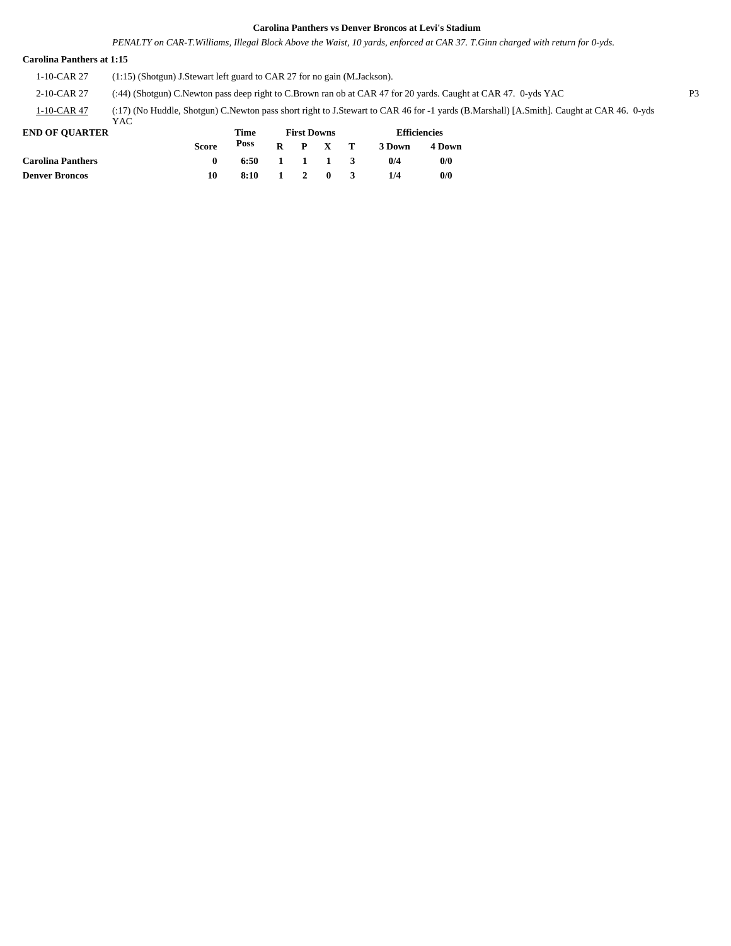*PENALTY on CAR-T.Williams, Illegal Block Above the Waist, 10 yards, enforced at CAR 37. T.Ginn charged with return for 0-yds.*

#### **Carolina Panthers at 1:15**

1-10-CAR 27 (1:15) (Shotgun) J.Stewart left guard to CAR 27 for no gain (M.Jackson).

2-10-CAR 27 (:44) (Shotgun) C.Newton pass deep right to C.Brown ran ob at CAR 47 for 20 yards. Caught at CAR 47. 0-yds YAC P3

(:17) (No Huddle, Shotgun) C.Newton pass short right to J.Stewart to CAR 46 for -1 yards (B.Marshall) [A.Smith]. Caught at CAR 46. 0-yds 1-10-CAR 47

|                | YAC |
|----------------|-----|
| END OF OUARTER |     |

| <b>END OF OUARTER</b>    |              | Time         |                 |  |                 | <b>Efficiencies</b> |        |  |
|--------------------------|--------------|--------------|-----------------|--|-----------------|---------------------|--------|--|
|                          | <b>Score</b> | Poss         |                 |  | $R$ $P$ $X$ $T$ | 3 Down              | 4 Down |  |
| <b>Carolina Panthers</b> |              | 6:50 1 1 1 3 |                 |  |                 | 0/4                 | 0/0    |  |
| Denver Broncos           | 10           | 8:10         | $\sim$ 1 $\sim$ |  | 2 0             | 1/4                 | 0/0    |  |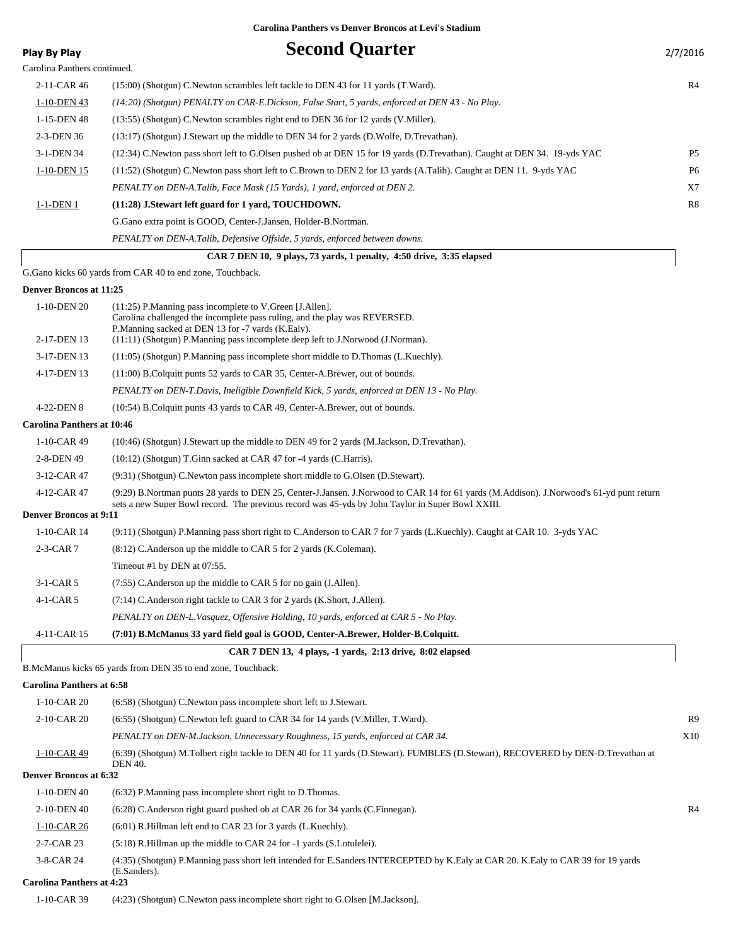|                                              | Carolina Panthers vs Denver Broncos at Levi's Stadium                                                                                                                                                                                       |                |
|----------------------------------------------|---------------------------------------------------------------------------------------------------------------------------------------------------------------------------------------------------------------------------------------------|----------------|
| <b>Play By Play</b>                          | <b>Second Quarter</b>                                                                                                                                                                                                                       | 2/7/2016       |
| Carolina Panthers continued.                 |                                                                                                                                                                                                                                             |                |
| 2-11-CAR 46                                  | (15:00) (Shotgun) C. Newton scrambles left tackle to DEN 43 for 11 yards (T. Ward).                                                                                                                                                         | R4             |
| 1-10-DEN 43                                  | (14:20) (Shotgun) PENALTY on CAR-E.Dickson, False Start, 5 yards, enforced at DEN 43 - No Play.                                                                                                                                             |                |
| 1-15-DEN 48                                  | (13:55) (Shotgun) C. Newton scrambles right end to DEN 36 for 12 yards (V. Miller).                                                                                                                                                         |                |
| 2-3-DEN 36                                   | (13:17) (Shotgun) J.Stewart up the middle to DEN 34 for 2 yards (D.Wolfe, D.Trevathan).                                                                                                                                                     |                |
| 3-1-DEN 34                                   | (12:34) C.Newton pass short left to G.Olsen pushed ob at DEN 15 for 19 yards (D.Trevathan). Caught at DEN 34. 19-yds YAC                                                                                                                    | P <sub>5</sub> |
| 1-10-DEN 15                                  | (11:52) (Shotgun) C.Newton pass short left to C.Brown to DEN 2 for 13 yards (A.Talib). Caught at DEN 11. 9-yds YAC                                                                                                                          | P <sub>6</sub> |
|                                              | PENALTY on DEN-A.Talib, Face Mask (15 Yards), 1 yard, enforced at DEN 2.                                                                                                                                                                    | X7             |
| 1-1-DEN 1                                    | (11:28) J.Stewart left guard for 1 yard, TOUCHDOWN.                                                                                                                                                                                         | R8             |
|                                              | G. Gano extra point is GOOD, Center-J. Jansen, Holder-B. Nortman.                                                                                                                                                                           |                |
|                                              | PENALTY on DEN-A.Talib, Defensive Offside, 5 yards, enforced between downs.                                                                                                                                                                 |                |
|                                              | CAR 7 DEN 10, 9 plays, 73 yards, 1 penalty, 4:50 drive, 3:35 elapsed                                                                                                                                                                        |                |
|                                              | G.Gano kicks 60 yards from CAR 40 to end zone, Touchback.                                                                                                                                                                                   |                |
| <b>Denver Broncos at 11:25</b>               |                                                                                                                                                                                                                                             |                |
| 1-10-DEN 20                                  | (11:25) P.Manning pass incomplete to V.Green [J.Allen].<br>Carolina challenged the incomplete pass ruling, and the play was REVERSED.<br>P.Manning sacked at DEN 13 for -7 yards (K.Ealy).                                                  |                |
| 2-17-DEN 13                                  | (11:11) (Shotgun) P.Manning pass incomplete deep left to J.Norwood (J.Norman).                                                                                                                                                              |                |
| 3-17-DEN 13                                  | (11:05) (Shotgun) P.Manning pass incomplete short middle to D.Thomas (L.Kuechly).                                                                                                                                                           |                |
| 4-17-DEN 13                                  | (11:00) B. Colquitt punts 52 yards to CAR 35, Center-A. Brewer, out of bounds.                                                                                                                                                              |                |
|                                              | PENALTY on DEN-T.Davis, Ineligible Downfield Kick, 5 yards, enforced at DEN 13 - No Play.                                                                                                                                                   |                |
| 4-22-DEN 8                                   | (10:54) B. Colquitt punts 43 yards to CAR 49, Center-A. Brewer, out of bounds.                                                                                                                                                              |                |
| <b>Carolina Panthers at 10:46</b>            |                                                                                                                                                                                                                                             |                |
| $1-10$ -CAR 49                               | (10:46) (Shotgun) J.Stewart up the middle to DEN 49 for 2 yards (M.Jackson, D.Trevathan).                                                                                                                                                   |                |
| 2-8-DEN 49                                   | $(10:12)$ (Shotgun) T.Ginn sacked at CAR 47 for -4 yards (C.Harris).                                                                                                                                                                        |                |
| 3-12-CAR 47                                  | (9:31) (Shotgun) C. Newton pass incomplete short middle to G. Olsen (D. Stewart).                                                                                                                                                           |                |
| 4-12-CAR 47<br><b>Denver Broncos at 9:11</b> | (9:29) B.Nortman punts 28 yards to DEN 25, Center-J.Jansen. J.Norwood to CAR 14 for 61 yards (M.Addison). J.Norwood's 61-yd punt return<br>sets a new Super Bowl record. The previous record was 45-yds by John Taylor in Super Bowl XXIII. |                |
| $1-10$ -CAR 14                               | (9:11) (Shotgun) P.Manning pass short right to C.Anderson to CAR 7 for 7 yards (L.Kuechly). Caught at CAR 10. 3-yds YAC                                                                                                                     |                |
| $2-3-CAR$ 7                                  | (8:12) C.Anderson up the middle to CAR 5 for 2 yards (K.Coleman).                                                                                                                                                                           |                |

Timeout #1 by DEN at 07:55.

| $3-1-CAR5$  | (7:55) C. Anderson up the middle to CAR 5 for no gain (J. Allen).                    |
|-------------|--------------------------------------------------------------------------------------|
| $4-1-CAR5$  | (7:14) C. Anderson right tackle to CAR 3 for 2 yards (K. Short, J. Allen).           |
|             | PENALTY on DEN-L. Vasquez, Offensive Holding, 10 yards, enforced at CAR 5 - No Play. |
| 4-11-CAR 15 | (7:01) B.McManus 33 yard field goal is GOOD, Center-A.Brewer, Holder-B.Colquitt.     |

| 4-11-CAR 15 | (7:01) B.McManus 33 vard field goal is GOOD, Center-A.Brewer, Holder-B.Colquitt. |  |
|-------------|----------------------------------------------------------------------------------|--|
|             | CAR 7 DEN 13, 4 plays, -1 yards, 2:13 drive, 8:02 elapsed                        |  |
|             | B. McManus kicks 65 yards from DEN 35 to end zone, Touchback.                    |  |

### **Carolina Panthers at 6:58**

| 1-10-CAR 20                      | (6:58) (Shotgun) C. Newton pass incomplete short left to J. Stewart.                                                                               |                |
|----------------------------------|----------------------------------------------------------------------------------------------------------------------------------------------------|----------------|
| $2-10$ -CAR 20                   | $(6.55)$ (Shotgun) C. Newton left guard to CAR 34 for 14 yards (V. Miller, T. Ward).                                                               | R <sub>9</sub> |
|                                  | PENALTY on DEN-M.Jackson, Unnecessary Roughness, 15 yards, enforced at CAR 34.                                                                     | X10            |
| $1-10$ -CAR 49                   | (6:39) (Shotgun) M.Tolbert right tackle to DEN 40 for 11 yards (D.Stewart). FUMBLES (D.Stewart), RECOVERED by DEN-D.Trevathan at<br><b>DEN 40.</b> |                |
| <b>Denver Broncos at 6:32</b>    |                                                                                                                                                    |                |
| 1-10-DEN 40                      | $(6:32)$ P.Manning pass incomplete short right to D.Thomas.                                                                                        |                |
| 2-10-DEN 40                      | (6.28) C.Anderson right guard pushed ob at CAR 26 for 34 yards (C.Finnegan).                                                                       | R <sub>4</sub> |
| $1-10$ -CAR 26                   | $(6:01)$ R.Hillman left end to CAR 23 for 3 yards $(L.Kuechly)$ .                                                                                  |                |
| 2-7-CAR 23                       | (5:18) R.Hillman up the middle to CAR 24 for -1 yards (S.Lotulelei).                                                                               |                |
| 3-8-CAR 24                       | (4:35) (Shotgun) P.Manning pass short left intended for E.Sanders INTERCEPTED by K.Ealy at CAR 20. K.Ealy to CAR 39 for 19 yards<br>(E.Sanders).   |                |
| <b>Carolina Panthers at 4:23</b> |                                                                                                                                                    |                |
|                                  |                                                                                                                                                    |                |

1-10-CAR 39 (4:23) (Shotgun) C.Newton pass incomplete short right to G.Olsen [M.Jackson].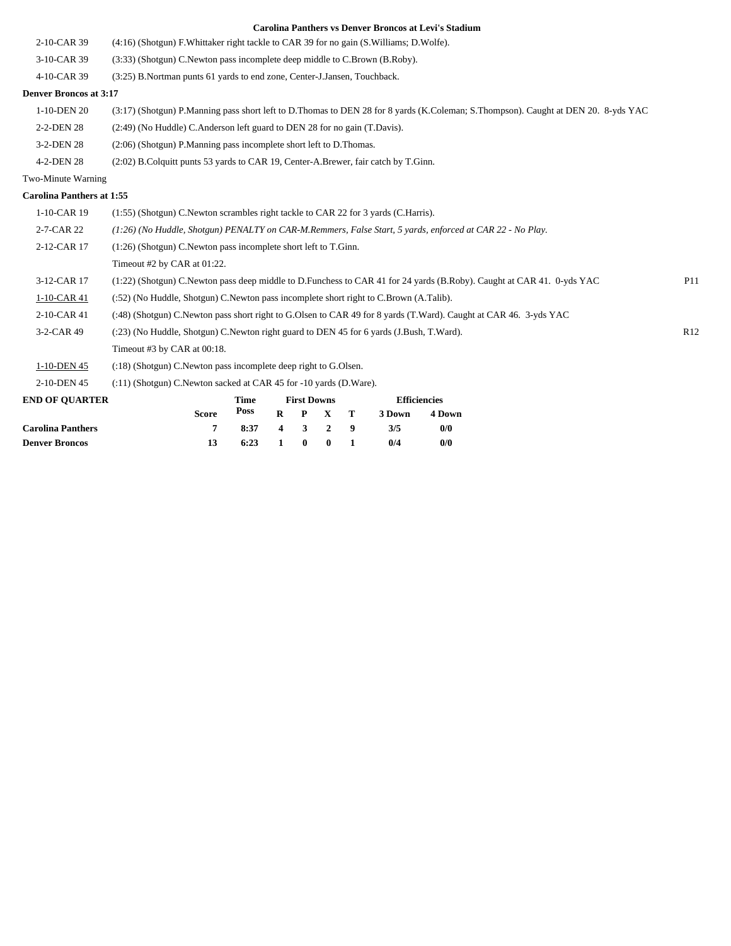| <b>Denver Broncos</b>            | 13                                                                                                               | 6:23                                                                          | 1        | $\bf{0}$                | $\bf{0}$     | 1 | 0/4    | 0/0                           |                                                                                                                                   |     |
|----------------------------------|------------------------------------------------------------------------------------------------------------------|-------------------------------------------------------------------------------|----------|-------------------------|--------------|---|--------|-------------------------------|-----------------------------------------------------------------------------------------------------------------------------------|-----|
| <b>Carolina Panthers</b>         | 7                                                                                                                | 8:37                                                                          | 4        | 3                       | $\mathbf{2}$ | 9 | 3/5    | 0/0                           |                                                                                                                                   |     |
| <b>END OF QUARTER</b>            | <b>Score</b>                                                                                                     | <b>Time</b><br>Poss                                                           | $\bf{R}$ | <b>First Downs</b><br>P | $\mathbf X$  | T | 3 Down | <b>Efficiencies</b><br>4 Down |                                                                                                                                   |     |
| 2-10-DEN 45                      | (:11) (Shotgun) C.Newton sacked at CAR 45 for -10 yards (D.Ware).                                                |                                                                               |          |                         |              |   |        |                               |                                                                                                                                   |     |
| 1-10-DEN 45                      | (:18) (Shotgun) C.Newton pass incomplete deep right to G.Olsen.                                                  |                                                                               |          |                         |              |   |        |                               |                                                                                                                                   |     |
|                                  | Timeout #3 by CAR at 00:18.                                                                                      |                                                                               |          |                         |              |   |        |                               |                                                                                                                                   |     |
| 3-2-CAR 49                       | (:23) (No Huddle, Shotgun) C.Newton right guard to DEN 45 for 6 yards (J.Bush, T.Ward).                          |                                                                               |          |                         |              |   |        |                               |                                                                                                                                   | R12 |
| 2-10-CAR 41                      | (:48) (Shotgun) C.Newton pass short right to G.Olsen to CAR 49 for 8 yards (T.Ward). Caught at CAR 46. 3-yds YAC |                                                                               |          |                         |              |   |        |                               |                                                                                                                                   |     |
| 1-10-CAR 41                      | (:52) (No Huddle, Shotgun) C. Newton pass incomplete short right to C. Brown (A. Talib).                         |                                                                               |          |                         |              |   |        |                               |                                                                                                                                   |     |
| 3-12-CAR 17                      |                                                                                                                  |                                                                               |          |                         |              |   |        |                               | (1:22) (Shotgun) C.Newton pass deep middle to D.Funchess to CAR 41 for 24 yards (B.Roby). Caught at CAR 41. 0-yds YAC             | P11 |
|                                  | Timeout #2 by CAR at 01:22.                                                                                      |                                                                               |          |                         |              |   |        |                               |                                                                                                                                   |     |
| 2-12-CAR 17                      | $(1:26)$ (Shotgun) C. Newton pass incomplete short left to T. Ginn.                                              |                                                                               |          |                         |              |   |        |                               |                                                                                                                                   |     |
| 2-7-CAR 22                       | (1:26) (No Huddle, Shotgun) PENALTY on CAR-M.Remmers, False Start, 5 yards, enforced at CAR 22 - No Play.        |                                                                               |          |                         |              |   |        |                               |                                                                                                                                   |     |
| 1-10-CAR 19                      | (1:55) (Shotgun) C. Newton scrambles right tackle to CAR 22 for 3 yards (C. Harris).                             |                                                                               |          |                         |              |   |        |                               |                                                                                                                                   |     |
| <b>Carolina Panthers at 1:55</b> |                                                                                                                  |                                                                               |          |                         |              |   |        |                               |                                                                                                                                   |     |
| Two-Minute Warning               |                                                                                                                  |                                                                               |          |                         |              |   |        |                               |                                                                                                                                   |     |
| 4-2-DEN 28                       | (2.02) B.Colquitt punts 53 yards to CAR 19, Center-A.Brewer, fair catch by T.Ginn.                               |                                                                               |          |                         |              |   |        |                               |                                                                                                                                   |     |
| 3-2-DEN 28                       | (2:06) (Shotgun) P.Manning pass incomplete short left to D.Thomas.                                               |                                                                               |          |                         |              |   |        |                               |                                                                                                                                   |     |
| 2-2-DEN 28                       | (2:49) (No Huddle) C.Anderson left guard to DEN 28 for no gain (T.Davis).                                        |                                                                               |          |                         |              |   |        |                               |                                                                                                                                   |     |
| 1-10-DEN 20                      |                                                                                                                  |                                                                               |          |                         |              |   |        |                               | (3:17) (Shotgun) P.Manning pass short left to D.Thomas to DEN 28 for 8 yards (K.Coleman; S.Thompson). Caught at DEN 20. 8-yds YAC |     |
| <b>Denver Broncos at 3:17</b>    |                                                                                                                  |                                                                               |          |                         |              |   |        |                               |                                                                                                                                   |     |
| 4-10-CAR 39                      | (3:25) B. Nortman punts 61 yards to end zone, Center-J. Jansen, Touchback.                                       |                                                                               |          |                         |              |   |        |                               |                                                                                                                                   |     |
| 3-10-CAR 39                      |                                                                                                                  | (3:33) (Shotgun) C. Newton pass incomplete deep middle to C. Brown (B. Roby). |          |                         |              |   |        |                               |                                                                                                                                   |     |
| 2-10-CAR 39                      | (4:16) (Shotgun) F. Whittaker right tackle to CAR 39 for no gain (S. Williams; D. Wolfe).                        |                                                                               |          |                         |              |   |        |                               |                                                                                                                                   |     |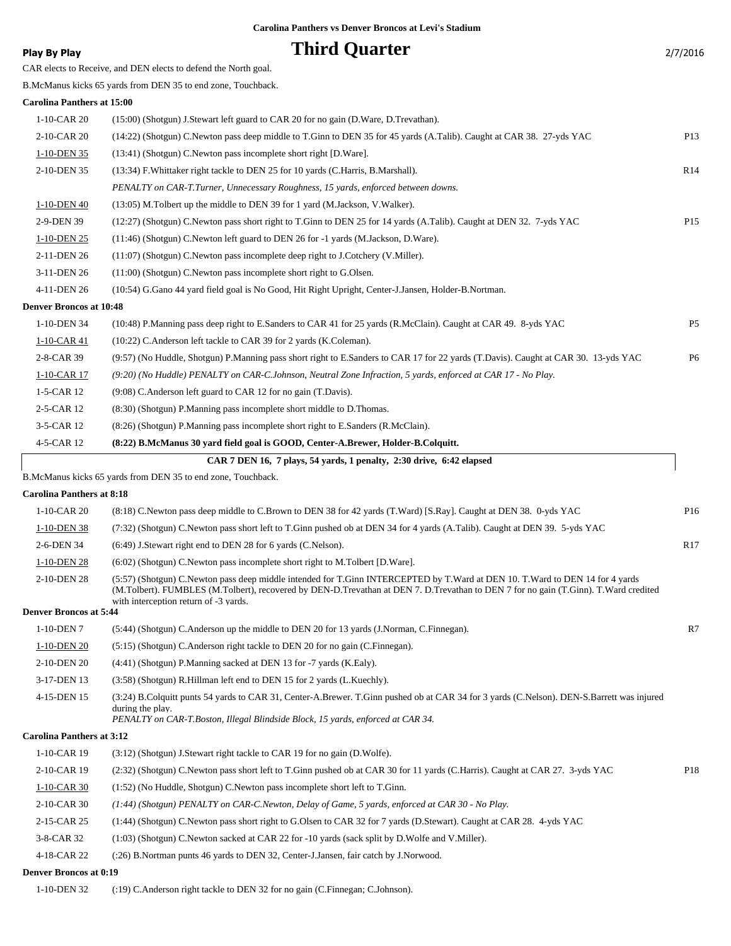### **Play By Play Play Play Play Play Play Play Play Play Play Play Play Play Play Play Play Play Play Play Play Play Play Play Play Play Play Play Play Play Play Pla**

|                                   | CAR elects to Receive, and DEN elects to defend the North goal.                                                                                                                                                                                                                                              |                 |
|-----------------------------------|--------------------------------------------------------------------------------------------------------------------------------------------------------------------------------------------------------------------------------------------------------------------------------------------------------------|-----------------|
|                                   | B.McManus kicks 65 yards from DEN 35 to end zone, Touchback.                                                                                                                                                                                                                                                 |                 |
| <b>Carolina Panthers at 15:00</b> |                                                                                                                                                                                                                                                                                                              |                 |
| 1-10-CAR 20                       | (15:00) (Shotgun) J.Stewart left guard to CAR 20 for no gain (D.Ware, D.Trevathan).                                                                                                                                                                                                                          |                 |
| 2-10-CAR 20                       | (14:22) (Shotgun) C.Newton pass deep middle to T.Ginn to DEN 35 for 45 yards (A.Talib). Caught at CAR 38. 27-yds YAC                                                                                                                                                                                         | P <sub>13</sub> |
| 1-10-DEN 35                       | (13:41) (Shotgun) C.Newton pass incomplete short right [D.Ware].                                                                                                                                                                                                                                             |                 |
| 2-10-DEN 35                       | (13:34) F. Whittaker right tackle to DEN 25 for 10 yards (C. Harris, B. Marshall).                                                                                                                                                                                                                           | R14             |
|                                   | PENALTY on CAR-T.Turner, Unnecessary Roughness, 15 yards, enforced between downs.                                                                                                                                                                                                                            |                 |
| 1-10-DEN 40                       | (13:05) M.Tolbert up the middle to DEN 39 for 1 yard (M.Jackson, V.Walker).                                                                                                                                                                                                                                  |                 |
| 2-9-DEN 39                        | (12:27) (Shotgun) C.Newton pass short right to T.Ginn to DEN 25 for 14 yards (A.Talib). Caught at DEN 32. 7-yds YAC                                                                                                                                                                                          | P <sub>15</sub> |
| 1-10-DEN 25                       | (11:46) (Shotgun) C.Newton left guard to DEN 26 for -1 yards (M.Jackson, D.Ware).                                                                                                                                                                                                                            |                 |
| 2-11-DEN 26                       | (11:07) (Shotgun) C. Newton pass incomplete deep right to J. Cotchery (V. Miller).                                                                                                                                                                                                                           |                 |
| 3-11-DEN 26                       | (11:00) (Shotgun) C.Newton pass incomplete short right to G.Olsen.                                                                                                                                                                                                                                           |                 |
| 4-11-DEN 26                       | (10:54) G.Gano 44 yard field goal is No Good, Hit Right Upright, Center-J.Jansen, Holder-B.Nortman.                                                                                                                                                                                                          |                 |
| <b>Denver Broncos at 10:48</b>    |                                                                                                                                                                                                                                                                                                              |                 |
| 1-10-DEN 34                       | (10:48) P.Manning pass deep right to E.Sanders to CAR 41 for 25 yards (R.McClain). Caught at CAR 49. 8-yds YAC                                                                                                                                                                                               | P <sub>5</sub>  |
| 1-10-CAR 41                       | (10:22) C.Anderson left tackle to CAR 39 for 2 yards (K.Coleman).                                                                                                                                                                                                                                            |                 |
| 2-8-CAR 39                        | (9:57) (No Huddle, Shotgun) P.Manning pass short right to E.Sanders to CAR 17 for 22 yards (T.Davis). Caught at CAR 30. 13-yds YAC                                                                                                                                                                           | P <sub>6</sub>  |
| 1-10-CAR 17                       | (9:20) (No Huddle) PENALTY on CAR-C.Johnson, Neutral Zone Infraction, 5 yards, enforced at CAR 17 - No Play.                                                                                                                                                                                                 |                 |
| 1-5-CAR 12                        | (9:08) C.Anderson left guard to CAR 12 for no gain (T.Davis).                                                                                                                                                                                                                                                |                 |
| 2-5-CAR 12                        | (8:30) (Shotgun) P.Manning pass incomplete short middle to D.Thomas.                                                                                                                                                                                                                                         |                 |
| 3-5-CAR 12                        | (8:26) (Shotgun) P.Manning pass incomplete short right to E.Sanders (R.McClain).                                                                                                                                                                                                                             |                 |
| 4-5-CAR 12                        | (8:22) B.McManus 30 yard field goal is GOOD, Center-A.Brewer, Holder-B.Colquitt.                                                                                                                                                                                                                             |                 |
|                                   | CAR 7 DEN 16, 7 plays, 54 yards, 1 penalty, 2:30 drive, 6:42 elapsed                                                                                                                                                                                                                                         |                 |
|                                   | B.McManus kicks 65 yards from DEN 35 to end zone, Touchback.                                                                                                                                                                                                                                                 |                 |
| <b>Carolina Panthers at 8:18</b>  |                                                                                                                                                                                                                                                                                                              |                 |
| 1-10-CAR 20                       | (8:18) C.Newton pass deep middle to C.Brown to DEN 38 for 42 yards (T.Ward) [S.Ray]. Caught at DEN 38. 0-yds YAC                                                                                                                                                                                             | P <sub>16</sub> |
| 1-10-DEN 38                       | (7:32) (Shotgun) C.Newton pass short left to T.Ginn pushed ob at DEN 34 for 4 yards (A.Talib). Caught at DEN 39. 5-yds YAC                                                                                                                                                                                   |                 |
| 2-6-DEN 34                        | (6:49) J.Stewart right end to DEN 28 for 6 yards (C.Nelson).                                                                                                                                                                                                                                                 | R17             |
| 1-10-DEN 28                       | (6:02) (Shotgun) C.Newton pass incomplete short right to M.Tolbert [D.Ware].                                                                                                                                                                                                                                 |                 |
| 2-10-DEN 28                       | (5:57) (Shotgun) C.Newton pass deep middle intended for T.Ginn INTERCEPTED by T.Ward at DEN 10. T.Ward to DEN 14 for 4 yards<br>(M.Tolbert). FUMBLES (M.Tolbert), recovered by DEN-D.Trevathan at DEN 7. D.Trevathan to DEN 7 for no gain (T.Ginn). T.Ward credited<br>with interception return of -3 yards. |                 |
| <b>Denver Broncos at 5:44</b>     |                                                                                                                                                                                                                                                                                                              |                 |
| 1-10-DEN 7                        | (5:44) (Shotgun) C.Anderson up the middle to DEN 20 for 13 yards (J.Norman, C.Finnegan).                                                                                                                                                                                                                     | R7              |
| 1-10-DEN 20                       | (5:15) (Shotgun) C.Anderson right tackle to DEN 20 for no gain (C.Finnegan).                                                                                                                                                                                                                                 |                 |
| 2-10-DEN 20                       | (4:41) (Shotgun) P.Manning sacked at DEN 13 for -7 yards (K.Ealy).                                                                                                                                                                                                                                           |                 |
| 3-17-DEN 13                       | (3:58) (Shotgun) R.Hillman left end to DEN 15 for 2 yards (L.Kuechly).                                                                                                                                                                                                                                       |                 |
| 4-15-DEN 15                       | (3:24) B.Colquitt punts 54 yards to CAR 31, Center-A.Brewer. T.Ginn pushed ob at CAR 34 for 3 yards (C.Nelson). DEN-S.Barrett was injured<br>during the play.<br>PENALTY on CAR-T.Boston, Illegal Blindside Block, 15 yards, enforced at CAR 34.                                                             |                 |

**Carolina Panthers at 3:12**

| Carolina Panthers at 3:12     |                                                                                                                              |                 |
|-------------------------------|------------------------------------------------------------------------------------------------------------------------------|-----------------|
| 1-10-CAR 19                   | (3:12) (Shotgun) J.Stewart right tackle to CAR 19 for no gain (D.Wolfe).                                                     |                 |
| 2-10-CAR 19                   | (2:32) (Shotgun) C.Newton pass short left to T.Ginn pushed ob at CAR 30 for 11 yards (C.Harris). Caught at CAR 27. 3-yds YAC | P <sub>18</sub> |
| $1-10$ -CAR 30                | $(1:52)$ (No Huddle, Shotgun) C. Newton pass incomplete short left to T. Ginn.                                               |                 |
| 2-10-CAR 30                   | $(1.44)$ (Shotgun) PENALTY on CAR-C.Newton, Delay of Game, 5 yards, enforced at CAR 30 - No Play.                            |                 |
| 2-15-CAR 25                   | (1:44) (Shotgun) C.Newton pass short right to G.Olsen to CAR 32 for 7 yards (D.Stewart). Caught at CAR 28. 4-yds YAC         |                 |
| 3-8-CAR 32                    | $(1:03)$ (Shotgun) C.Newton sacked at CAR 22 for -10 yards (sack split by D.Wolfe and V.Miller).                             |                 |
| 4-18-CAR 22                   | (:26) B. Nortman punts 46 yards to DEN 32, Center-J. Jansen, fair catch by J. Norwood.                                       |                 |
| <b>Denver Broncos at 0:19</b> |                                                                                                                              |                 |

1-10-DEN 32 (:19) C.Anderson right tackle to DEN 32 for no gain (C.Finnegan; C.Johnson).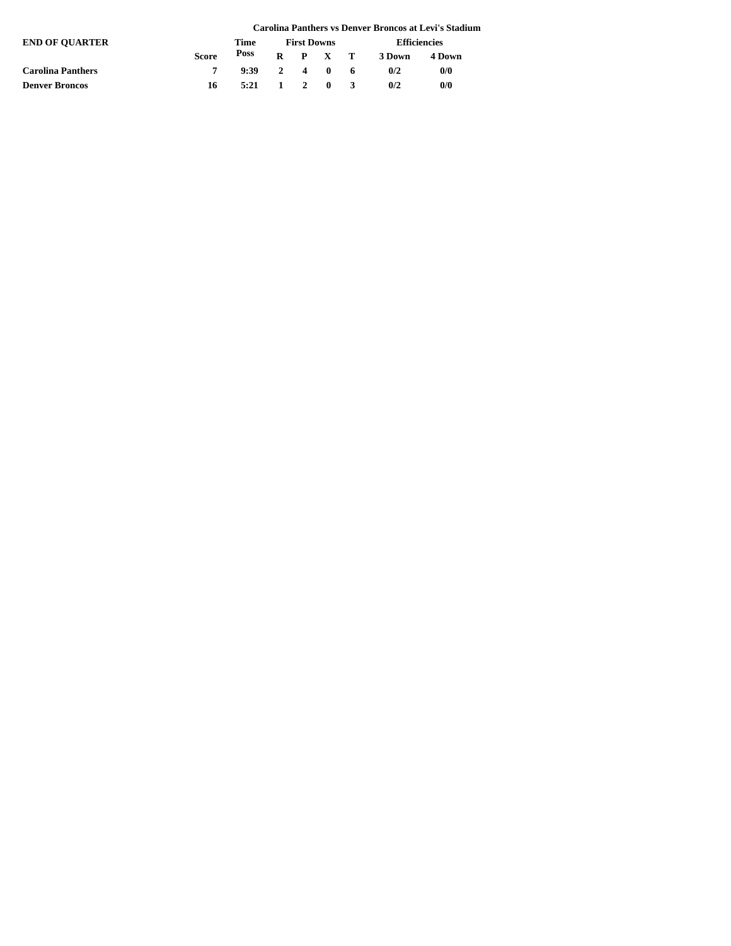|                          |              |                                        |                    |  |  |                     |        | Carolina Panthers vs Denver Broncos at Levi's Stadium |
|--------------------------|--------------|----------------------------------------|--------------------|--|--|---------------------|--------|-------------------------------------------------------|
| <b>END OF OUARTER</b>    |              | Time                                   | <b>First Downs</b> |  |  | <b>Efficiencies</b> |        |                                                       |
|                          | <b>Score</b> | Poss                                   |                    |  |  | $R$ $P$ $X$ $T$     | 3 Down | 4 Down                                                |
| <b>Carolina Panthers</b> |              | 9:39                                   | 2 4 0 6            |  |  |                     | 0/2    | 0/0                                                   |
| <b>Denver Broncos</b>    | 16.          | $5:21 \quad 1 \quad 2 \quad 0 \quad 3$ |                    |  |  |                     | 0/2    | 0/0                                                   |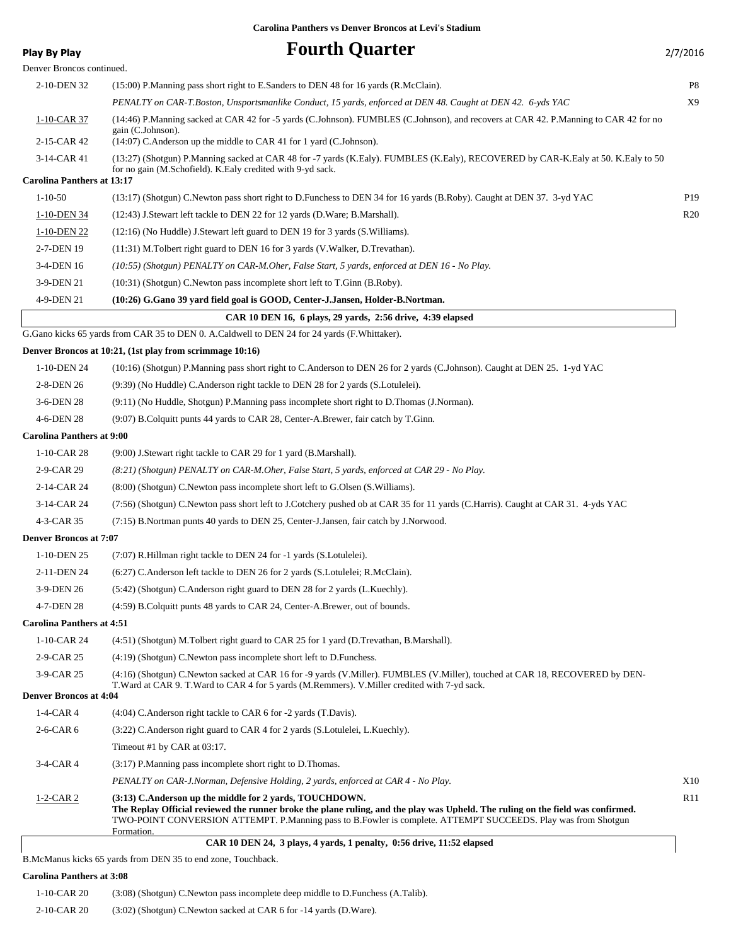| Play By Play                      | <b>Fourth Quarter</b>                                                                                                                                                                                                                                                                                                     | 2/7/2016        |
|-----------------------------------|---------------------------------------------------------------------------------------------------------------------------------------------------------------------------------------------------------------------------------------------------------------------------------------------------------------------------|-----------------|
| Denver Broncos continued.         |                                                                                                                                                                                                                                                                                                                           |                 |
| 2-10-DEN 32                       | (15:00) P.Manning pass short right to E.Sanders to DEN 48 for 16 yards (R.McClain).                                                                                                                                                                                                                                       | P8              |
|                                   | PENALTY on CAR-T.Boston, Unsportsmanlike Conduct, 15 yards, enforced at DEN 48. Caught at DEN 42. 6-yds YAC                                                                                                                                                                                                               | X9              |
| $1-10$ -CAR 37                    | (14:46) P.Manning sacked at CAR 42 for -5 yards (C.Johnson). FUMBLES (C.Johnson), and recovers at CAR 42. P.Manning to CAR 42 for no<br>gain (C.Johnson).                                                                                                                                                                 |                 |
| 2-15-CAR 42                       | (14:07) C.Anderson up the middle to CAR 41 for 1 yard (C.Johnson).                                                                                                                                                                                                                                                        |                 |
| 3-14-CAR 41                       | (13:27) (Shotgun) P.Manning sacked at CAR 48 for -7 yards (K.Ealy). FUMBLES (K.Ealy), RECOVERED by CAR-K.Ealy at 50. K.Ealy to 50<br>for no gain (M.Schofield). K.Ealy credited with 9-yd sack.                                                                                                                           |                 |
| <b>Carolina Panthers at 13:17</b> |                                                                                                                                                                                                                                                                                                                           |                 |
| $1 - 10 - 50$                     | (13:17) (Shotgun) C.Newton pass short right to D.Funchess to DEN 34 for 16 yards (B.Roby). Caught at DEN 37. 3-yd YAC                                                                                                                                                                                                     | P <sub>19</sub> |
| 1-10-DEN 34                       | (12:43) J. Stewart left tackle to DEN 22 for 12 yards (D. Ware; B. Marshall).                                                                                                                                                                                                                                             | R <sub>20</sub> |
| 1-10-DEN 22                       | (12:16) (No Huddle) J.Stewart left guard to DEN 19 for 3 yards (S. Williams).                                                                                                                                                                                                                                             |                 |
| 2-7-DEN 19                        | (11:31) M.Tolbert right guard to DEN 16 for 3 yards (V.Walker, D.Trevathan).                                                                                                                                                                                                                                              |                 |
| 3-4-DEN 16                        | (10:55) (Shotgun) PENALTY on CAR-M.Oher, False Start, 5 yards, enforced at DEN 16 - No Play.                                                                                                                                                                                                                              |                 |
| 3-9-DEN 21                        | (10:31) (Shotgun) C. Newton pass incomplete short left to T. Ginn (B. Roby).                                                                                                                                                                                                                                              |                 |
| 4-9-DEN 21                        | (10:26) G.Gano 39 yard field goal is GOOD, Center-J.Jansen, Holder-B.Nortman.                                                                                                                                                                                                                                             |                 |
|                                   | CAR 10 DEN 16, 6 plays, 29 yards, 2:56 drive, 4:39 elapsed                                                                                                                                                                                                                                                                |                 |
|                                   | G.Gano kicks 65 yards from CAR 35 to DEN 0. A.Caldwell to DEN 24 for 24 yards (F.Whittaker).                                                                                                                                                                                                                              |                 |
|                                   | Denver Broncos at 10:21, (1st play from scrimmage 10:16)                                                                                                                                                                                                                                                                  |                 |
| 1-10-DEN 24                       | (10:16) (Shotgun) P.Manning pass short right to C.Anderson to DEN 26 for 2 yards (C.Johnson). Caught at DEN 25. 1-yd YAC                                                                                                                                                                                                  |                 |
| 2-8-DEN 26                        | (9:39) (No Huddle) C.Anderson right tackle to DEN 28 for 2 yards (S.Lotulelei).                                                                                                                                                                                                                                           |                 |
| 3-6-DEN 28                        | (9:11) (No Huddle, Shotgun) P.Manning pass incomplete short right to D.Thomas (J.Norman).                                                                                                                                                                                                                                 |                 |
| 4-6-DEN 28                        | (9:07) B.Colquitt punts 44 yards to CAR 28, Center-A.Brewer, fair catch by T.Ginn.                                                                                                                                                                                                                                        |                 |
| <b>Carolina Panthers at 9:00</b>  |                                                                                                                                                                                                                                                                                                                           |                 |
| 1-10-CAR 28                       | (9:00) J.Stewart right tackle to CAR 29 for 1 yard (B.Marshall).                                                                                                                                                                                                                                                          |                 |
| 2-9-CAR 29                        | (8:21) (Shotgun) PENALTY on CAR-M.Oher, False Start, 5 yards, enforced at CAR 29 - No Play.                                                                                                                                                                                                                               |                 |
| 2-14-CAR 24                       | (8.00) (Shotgun) C. Newton pass incomplete short left to G. Olsen (S. Williams).                                                                                                                                                                                                                                          |                 |
| 3-14-CAR 24                       | (7:56) (Shotgun) C.Newton pass short left to J.Cotchery pushed ob at CAR 35 for 11 yards (C.Harris). Caught at CAR 31. 4-yds YAC                                                                                                                                                                                          |                 |
| 4-3-CAR 35                        | (7:15) B.Nortman punts 40 yards to DEN 25, Center-J.Jansen, fair catch by J.Norwood.                                                                                                                                                                                                                                      |                 |
| <b>Denver Broncos at 7:07</b>     |                                                                                                                                                                                                                                                                                                                           |                 |
| 1-10-DEN 25                       | (7:07) R.Hillman right tackle to DEN 24 for -1 yards (S.Lotulelei).                                                                                                                                                                                                                                                       |                 |
| 2-11-DEN 24                       | (6:27) C.Anderson left tackle to DEN 26 for 2 yards (S.Lotulelei; R.McClain).                                                                                                                                                                                                                                             |                 |
| 3-9-DEN 26                        | (5:42) (Shotgun) C.Anderson right guard to DEN 28 for 2 yards (L.Kuechly).                                                                                                                                                                                                                                                |                 |
| 4-7-DEN 28                        | (4:59) B.Colquitt punts 48 yards to CAR 24, Center-A.Brewer, out of bounds.                                                                                                                                                                                                                                               |                 |
| <b>Carolina Panthers at 4:51</b>  |                                                                                                                                                                                                                                                                                                                           |                 |
| 1-10-CAR 24                       | (4:51) (Shotgun) M.Tolbert right guard to CAR 25 for 1 yard (D.Trevathan, B.Marshall).                                                                                                                                                                                                                                    |                 |
| 2-9-CAR 25                        | (4:19) (Shotgun) C. Newton pass incomplete short left to D. Funchess.                                                                                                                                                                                                                                                     |                 |
| 3-9-CAR 25                        | (4:16) (Shotgun) C.Newton sacked at CAR 16 for -9 yards (V.Miller). FUMBLES (V.Miller), touched at CAR 18, RECOVERED by DEN-                                                                                                                                                                                              |                 |
|                                   | T. Ward at CAR 9. T. Ward to CAR 4 for 5 yards (M. Remmers). V. Miller credited with 7-yd sack.                                                                                                                                                                                                                           |                 |
| <b>Denver Broncos at 4:04</b>     |                                                                                                                                                                                                                                                                                                                           |                 |
| $1-4-CAR4$                        | (4:04) C.Anderson right tackle to CAR 6 for -2 yards (T.Davis).                                                                                                                                                                                                                                                           |                 |
| 2-6-CAR 6                         | (3:22) C.Anderson right guard to CAR 4 for 2 yards (S.Lotulelei, L.Kuechly).                                                                                                                                                                                                                                              |                 |
|                                   | Timeout #1 by CAR at 03:17.                                                                                                                                                                                                                                                                                               |                 |
| 3-4-CAR 4                         | (3:17) P.Manning pass incomplete short right to D.Thomas.                                                                                                                                                                                                                                                                 |                 |
|                                   | PENALTY on CAR-J.Norman, Defensive Holding, 2 yards, enforced at CAR 4 - No Play.                                                                                                                                                                                                                                         | X10             |
| $1-2-CAR2$                        | (3:13) C.Anderson up the middle for 2 yards, TOUCHDOWN.<br>The Replay Official reviewed the runner broke the plane ruling, and the play was Upheld. The ruling on the field was confirmed.<br>TWO-POINT CONVERSION ATTEMPT. P.Manning pass to B.Fowler is complete. ATTEMPT SUCCEEDS. Play was from Shotgun<br>Formation. | R11             |
|                                   | CAR 10 DEN 24, 3 plays, 4 yards, 1 penalty, 0:56 drive, 11:52 elapsed                                                                                                                                                                                                                                                     |                 |

B.McManus kicks 65 yards from DEN 35 to end zone, Touchback.

#### **Carolina Panthers at 3:08**

| $1-10$ -CAR 20 | (3.08) (Shotgun) C. Newton pass incomplete deep middle to D. Funchess (A. Talib). |
|----------------|-----------------------------------------------------------------------------------|
| 2-10-CAR 20    | $(3:02)$ (Shotgun) C. Newton sacked at CAR 6 for -14 yards (D. Ware).             |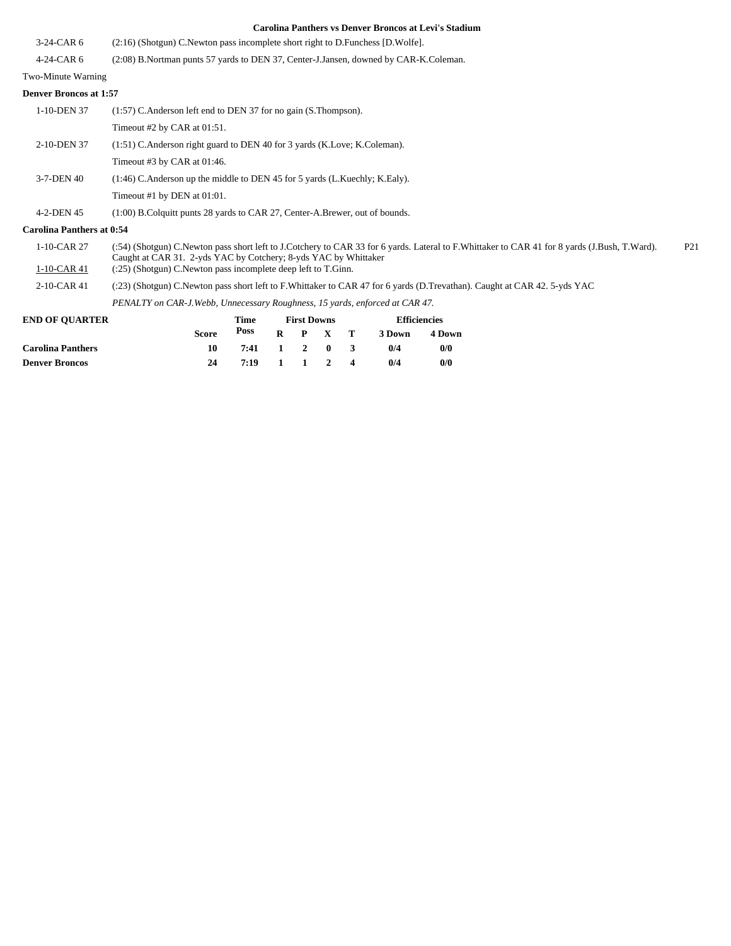|                                  | Carolina Pantners vs Denver Broncos at Levi's Stadium                                                                                                                                                                              |
|----------------------------------|------------------------------------------------------------------------------------------------------------------------------------------------------------------------------------------------------------------------------------|
| $3-24-CAR6$                      | $(2:16)$ (Shotgun) C. Newton pass incomplete short right to D. Funchess [D. Wolfe].                                                                                                                                                |
| $4-24-CAR6$                      | (2:08) B.Nortman punts 57 yards to DEN 37, Center-J.Jansen, downed by CAR-K.Coleman.                                                                                                                                               |
| Two-Minute Warning               |                                                                                                                                                                                                                                    |
| <b>Denver Broncos at 1:57</b>    |                                                                                                                                                                                                                                    |
| 1-10-DEN 37                      | $(1:57)$ C. Anderson left end to DEN 37 for no gain (S. Thompson).                                                                                                                                                                 |
|                                  | Timeout #2 by CAR at 01:51.                                                                                                                                                                                                        |
| 2-10-DEN 37                      | $(1:51)$ C. Anderson right guard to DEN 40 for 3 yards (K. Love; K. Coleman).                                                                                                                                                      |
|                                  | Timeout #3 by CAR at $01:46$ .                                                                                                                                                                                                     |
| 3-7-DEN 40                       | (1:46) C. Anderson up the middle to DEN 45 for 5 yards (L. Kuechly; K. Ealy).                                                                                                                                                      |
|                                  | Timeout #1 by DEN at 01:01.                                                                                                                                                                                                        |
| 4-2-DEN 45                       | $(1:00)$ B. Colquitt punts 28 yards to CAR 27, Center-A. Brewer, out of bounds.                                                                                                                                                    |
| <b>Carolina Panthers at 0:54</b> |                                                                                                                                                                                                                                    |
| 1-10-CAR 27                      | (:54) (Shotgun) C.Newton pass short left to J.Cotchery to CAR 33 for 6 yards. Lateral to F.Whittaker to CAR 41 for 8 yards (J.Bush, T.Ward).<br>P <sub>21</sub><br>Caught at CAR 31. 2-yds YAC by Cotchery; 8-yds YAC by Whittaker |
| $1-10$ -CAR 41                   | $(.25)$ (Shotgun) C. Newton pass incomplete deep left to T. Ginn.                                                                                                                                                                  |
| 2-10-CAR 41                      | (:23) (Shotgun) C.Newton pass short left to F.Whittaker to CAR 47 for 6 yards (D.Trevathan). Caught at CAR 42. 5-yds YAC                                                                                                           |
|                                  | PENALTY on CAR-J. Webb, Unnecessary Roughness, 15 yards, enforced at CAR 47.                                                                                                                                                       |
| END OF OUA DTED.                 | T <sub>ime</sub> First Derma<br><b>Efficianaica</b>                                                                                                                                                                                |

| <b>END OF OUARTER</b>    |       | Time         | <b>First Downs</b> |         | <b>Efficiencies</b> |        |  |  |
|--------------------------|-------|--------------|--------------------|---------|---------------------|--------|--|--|
|                          | Score | Poss         |                    | R P X T | 3 Down              | 4 Down |  |  |
| <b>Carolina Panthers</b> | 10    | 7:41 1 2 0 3 |                    |         | 0/4                 | 0/0    |  |  |
| <b>Denver Broncos</b>    | 24    | 7:19 1 1 2 4 |                    |         | 0/4                 | 0/0    |  |  |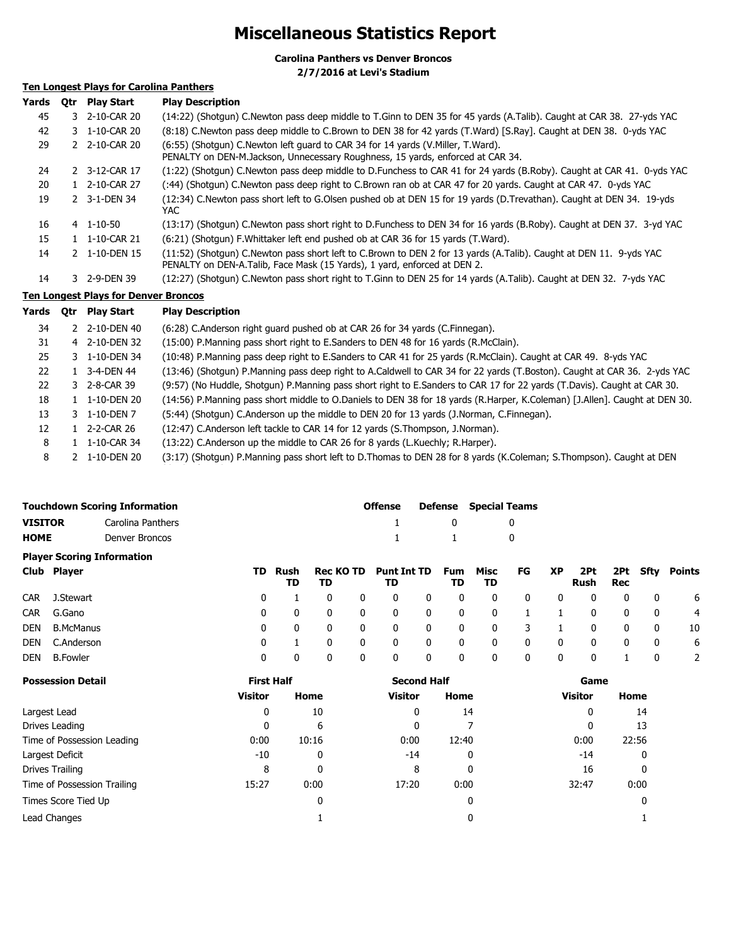### **Miscellaneous Statistics Report**

**Carolina Panthers vs Denver Broncos 2/7/2016 at Levi's Stadium**

### **Ten Longest Plays for Carolina Panthers**

| Yards | 0tr | <b>Play Start</b>                           | <b>Play Description</b>                                                                                                                                                                        |
|-------|-----|---------------------------------------------|------------------------------------------------------------------------------------------------------------------------------------------------------------------------------------------------|
| 45    |     | 3 2-10-CAR 20                               | (14:22) (Shotgun) C.Newton pass deep middle to T.Ginn to DEN 35 for 45 yards (A.Talib). Caught at CAR 38. 27-yds YAC                                                                           |
| 42    |     | 3 1-10-CAR 20                               | (8:18) C.Newton pass deep middle to C.Brown to DEN 38 for 42 yards (T.Ward) [S.Ray]. Caught at DEN 38. 0-yds YAC                                                                               |
| 29    |     | 2 2-10-CAR 20                               | (6:55) (Shotgun) C.Newton left guard to CAR 34 for 14 yards (V.Miller, T.Ward).<br>PENALTY on DEN-M.Jackson, Unnecessary Roughness, 15 yards, enforced at CAR 34.                              |
| 24    |     | 2 3-12-CAR 17                               | (1:22) (Shotgun) C.Newton pass deep middle to D.Funchess to CAR 41 for 24 yards (B.Roby). Caught at CAR 41. 0-yds YAC                                                                          |
| 20    |     | 1 2-10-CAR 27                               | (:44) (Shotgun) C.Newton pass deep right to C.Brown ran ob at CAR 47 for 20 yards. Caught at CAR 47. 0-yds YAC                                                                                 |
| 19    |     | 2 3-1-DEN 34                                | (12:34) C.Newton pass short left to G.Olsen pushed ob at DEN 15 for 19 yards (D.Trevathan). Caught at DEN 34. 19-yds<br>YAC.                                                                   |
| 16    |     | 4 1-10-50                                   | (13:17) (Shotgun) C.Newton pass short right to D.Funchess to DEN 34 for 16 yards (B.Roby). Caught at DEN 37. 3-yd YAC                                                                          |
| 15    |     | 1 1-10-CAR 21                               | (6:21) (Shotgun) F. Whittaker left end pushed ob at CAR 36 for 15 yards (T. Ward).                                                                                                             |
| 14    |     | 2 1-10-DEN 15                               | (11:52) (Shotgun) C.Newton pass short left to C.Brown to DEN 2 for 13 yards (A.Talib). Caught at DEN 11. 9-yds YAC<br>PENALTY on DEN-A.Talib, Face Mask (15 Yards), 1 yard, enforced at DEN 2. |
| 14    |     | 3 2-9-DEN 39                                | (12:27) (Shotgun) C.Newton pass short right to T.Ginn to DEN 25 for 14 yards (A.Talib). Caught at DEN 32. 7-yds YAC                                                                            |
|       |     | <b>Ten Longest Plays for Denver Broncos</b> |                                                                                                                                                                                                |
| Yards | 0tr | <b>Play Start</b>                           | <b>Play Description</b>                                                                                                                                                                        |
| 34    |     | 2 2-10-DEN 40                               | (6:28) C.Anderson right guard pushed ob at CAR 26 for 34 yards (C.Finnegan).                                                                                                                   |
| 31    |     | 4 2-10-DEN 32                               | (15:00) P. Manning pass short right to E. Sanders to DEN 48 for 16 yards (R. McClain).                                                                                                         |
| 25    |     | 3 1-10-DEN 34                               | (10:48) P.Manning pass deep right to E.Sanders to CAR 41 for 25 yards (R.McClain). Caught at CAR 49. 8-yds YAC                                                                                 |

| 22 | 3-4-DEN 44     | (13:46) (Shotgun) P.Manning pass deep right to A.Caldwell to CAR 34 for 22 yards (T.Boston). Caught at CAR 36. 2-yds YAC   |
|----|----------------|----------------------------------------------------------------------------------------------------------------------------|
| 22 | 3 2-8-CAR 39   | (9:57) (No Huddle, Shotgun) P.Manning pass short right to E.Sanders to CAR 17 for 22 yards (T.Davis). Caught at CAR 30.    |
| 18 | 1 1-10-DEN 20  | (14:56) P.Manning pass short middle to O.Daniels to DEN 38 for 18 yards (R.Harper, K.Coleman) [J.Allen]. Caught at DEN 30. |
| 13 | 3 1-10-DEN 7   | (5:44) (Shotgun) C.Anderson up the middle to DEN 20 for 13 yards (J.Norman, C.Finnegan).                                   |
| 12 | 1 2-2-CAR 26   | (12:47) C.Anderson left tackle to CAR 14 for 12 yards (S.Thompson, J.Norman).                                              |
|    | $\blacksquare$ | $(10.22)$ C Anderson un the middle to CAD 36 few 0 youds (LKusakhu D Haven)                                                |

8 1 1-10-CAR 34 (13:22) C.Anderson up the middle to CAR 26 for 8 yards (L.Kuechly; R.Harper).

8 2 1-10-DEN 20 (3:17) (Shotgun) P.Manning pass short left to D.Thomas to DEN 28 for 8 yards (K.Coleman; S.Thompson). Caught at DEN

|                               | <b>Touchdown Scoring Information</b> |     | <b>Offense</b> |                 | <b>Defense</b> | <b>Special Teams</b>     |              |                  |            |    |           |             |     |              |               |
|-------------------------------|--------------------------------------|-----|----------------|-----------------|----------------|--------------------------|--------------|------------------|------------|----|-----------|-------------|-----|--------------|---------------|
| <b>VISITOR</b>                | Carolina Panthers                    |     |                |                 |                |                          |              | 0                |            | 0  |           |             |     |              |               |
| <b>HOME</b><br>Denver Broncos |                                      |     |                |                 |                |                          |              |                  |            | 0  |           |             |     |              |               |
|                               | <b>Player Scoring Information</b>    |     |                |                 |                |                          |              |                  |            |    |           |             |     |              |               |
|                               | Club Player                          | TD. | Rush<br>TD     | Rec KO TD<br>TD |                | <b>Punt Int TD</b><br>TD |              | <b>Fum</b><br>TD | Misc<br>TD | FG | <b>XP</b> | 2Pt<br>Rush | Rec | 2Pt Sfty     | <b>Points</b> |
| <b>CAR</b>                    | J.Stewart                            | 0   |                | 0               | 0              | 0                        | 0            | 0                | 0          | 0  | 0         | 0           | 0   | $\mathbf{0}$ | 6             |
| <b>CAR</b>                    | G.Gano                               | 0   | 0              | 0               | $\mathbf{0}$   | 0                        | $\mathbf{0}$ | 0                | 0          |    |           | 0           | 0   | 0            | 4             |
| DEN                           | <b>B.McManus</b>                     | 0   | 0              | 0               | 0              | 0                        | $\mathbf{0}$ | 0                | 0          | 3  |           | 0           | 0   | 0            | 10            |
| DEN                           | C.Anderson                           | 0   |                | $\mathbf{0}$    | 0              | 0                        | $\mathbf{0}$ | 0                | 0          | 0  | 0         | 0           | 0   | 0            | 6             |
| DEN                           | <b>B.Fowler</b>                      | 0   | 0              | 0               | 0              | 0                        | 0            | 0                | 0          | 0  | 0         | 0           |     | 0            | 2             |

| <b>Possession Detail</b>    | <b>First Half</b> |       | <b>Second Half</b> |       | Game           |       |  |  |
|-----------------------------|-------------------|-------|--------------------|-------|----------------|-------|--|--|
|                             | <b>Visitor</b>    | Home  | <b>Visitor</b>     | Home  | <b>Visitor</b> | Home  |  |  |
| Largest Lead                | 0                 | 10    | 0                  | 14    | 0              | 14    |  |  |
| Drives Leading              | 0                 | 6     | 0                  |       | 0              | 13    |  |  |
| Time of Possession Leading  | 0:00              | 10:16 | 0:00               | 12:40 | 0:00           | 22:56 |  |  |
| Largest Deficit             | $-10$             | 0     | $-14$              | 0     | $-14$          | 0     |  |  |
| Drives Trailing             | 8                 | 0     | 8                  | 0     | 16             | 0     |  |  |
| Time of Possession Trailing | 15:27             | 0:00  | 17:20              | 0:00  | 32:47          | 0:00  |  |  |
| Times Score Tied Up         |                   | 0     |                    | 0     |                | 0     |  |  |
| Lead Changes                |                   |       |                    | 0     |                |       |  |  |